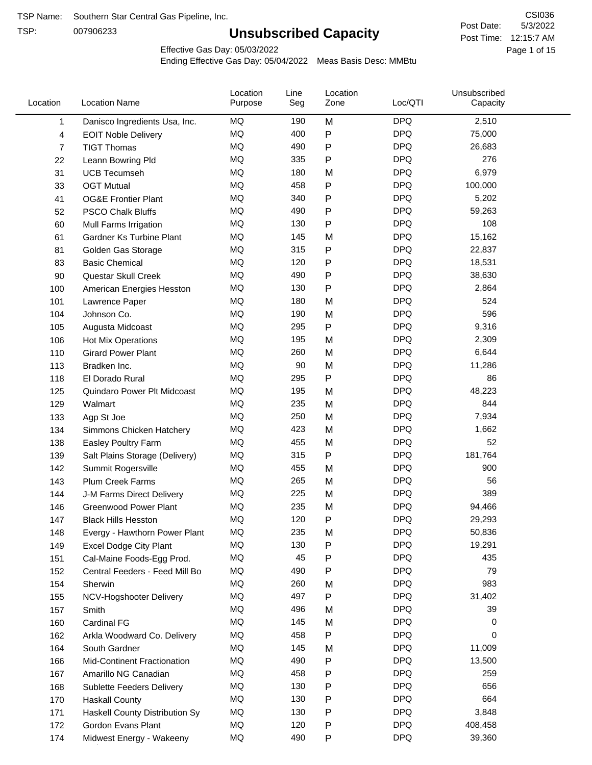TSP:

# **Unsubscribed Capacity**

5/3/2022 Page 1 of 15 Post Time: 12:15:7 AM CSI036 Post Date:

Effective Gas Day: 05/03/2022

| Location | <b>Location Name</b>               | Location<br>Purpose | Line<br>Seg | Location<br>Zone | Loc/QTI    | Unsubscribed<br>Capacity |  |
|----------|------------------------------------|---------------------|-------------|------------------|------------|--------------------------|--|
| 1        | Danisco Ingredients Usa, Inc.      | MQ                  | 190         | M                | <b>DPQ</b> | 2,510                    |  |
| 4        | <b>EOIT Noble Delivery</b>         | MQ                  | 400         | P                | <b>DPQ</b> | 75,000                   |  |
| 7        | <b>TIGT Thomas</b>                 | MQ                  | 490         | Ρ                | <b>DPQ</b> | 26,683                   |  |
| 22       | Leann Bowring Pld                  | MQ                  | 335         | P                | <b>DPQ</b> | 276                      |  |
| 31       | <b>UCB Tecumseh</b>                | MQ                  | 180         | M                | <b>DPQ</b> | 6,979                    |  |
| 33       | <b>OGT Mutual</b>                  | MQ                  | 458         | Ρ                | <b>DPQ</b> | 100,000                  |  |
| 41       | <b>OG&amp;E Frontier Plant</b>     | MQ                  | 340         | Ρ                | <b>DPQ</b> | 5,202                    |  |
| 52       | <b>PSCO Chalk Bluffs</b>           | MQ                  | 490         | Ρ                | <b>DPQ</b> | 59,263                   |  |
| 60       | Mull Farms Irrigation              | MQ                  | 130         | P                | <b>DPQ</b> | 108                      |  |
| 61       | <b>Gardner Ks Turbine Plant</b>    | MQ                  | 145         | M                | <b>DPQ</b> | 15,162                   |  |
| 81       | Golden Gas Storage                 | MQ                  | 315         | P                | <b>DPQ</b> | 22,837                   |  |
| 83       | <b>Basic Chemical</b>              | MQ                  | 120         | Ρ                | <b>DPQ</b> | 18,531                   |  |
| 90       | Questar Skull Creek                | MQ                  | 490         | Ρ                | <b>DPQ</b> | 38,630                   |  |
| 100      | American Energies Hesston          | MQ                  | 130         | Ρ                | <b>DPQ</b> | 2,864                    |  |
| 101      | Lawrence Paper                     | MQ                  | 180         | M                | <b>DPQ</b> | 524                      |  |
| 104      | Johnson Co.                        | MQ                  | 190         | M                | <b>DPQ</b> | 596                      |  |
| 105      | Augusta Midcoast                   | MQ                  | 295         | P                | <b>DPQ</b> | 9,316                    |  |
| 106      | Hot Mix Operations                 | MQ                  | 195         | M                | <b>DPQ</b> | 2,309                    |  |
| 110      | <b>Girard Power Plant</b>          | MQ                  | 260         | M                | <b>DPQ</b> | 6,644                    |  |
| 113      | Bradken Inc.                       | MQ                  | 90          | M                | <b>DPQ</b> | 11,286                   |  |
| 118      | El Dorado Rural                    | <b>MQ</b>           | 295         | P                | <b>DPQ</b> | 86                       |  |
| 125      | Quindaro Power Plt Midcoast        | <b>MQ</b>           | 195         | M                | <b>DPQ</b> | 48,223                   |  |
| 129      | Walmart                            | <b>MQ</b>           | 235         | M                | <b>DPQ</b> | 844                      |  |
| 133      | Agp St Joe                         | <b>MQ</b>           | 250         | M                | <b>DPQ</b> | 7,934                    |  |
| 134      | Simmons Chicken Hatchery           | MQ                  | 423         | M                | <b>DPQ</b> | 1,662                    |  |
| 138      | Easley Poultry Farm                | MQ                  | 455         | M                | <b>DPQ</b> | 52                       |  |
| 139      | Salt Plains Storage (Delivery)     | MQ                  | 315         | P                | <b>DPQ</b> | 181,764                  |  |
| 142      | Summit Rogersville                 | MQ                  | 455         | M                | <b>DPQ</b> | 900                      |  |
| 143      | Plum Creek Farms                   | MQ                  | 265         | M                | <b>DPQ</b> | 56                       |  |
| 144      | J-M Farms Direct Delivery          | MQ                  | 225         | M                | <b>DPQ</b> | 389                      |  |
| 146      | <b>Greenwood Power Plant</b>       | <b>MQ</b>           | 235         | M                | <b>DPQ</b> | 94,466                   |  |
| 147      | <b>Black Hills Hesston</b>         | MQ                  | 120         | Ρ                | <b>DPQ</b> | 29,293                   |  |
| 148      | Evergy - Hawthorn Power Plant      | MQ                  | 235         | M                | <b>DPQ</b> | 50,836                   |  |
| 149      | <b>Excel Dodge City Plant</b>      | MQ                  | 130         | P                | <b>DPQ</b> | 19,291                   |  |
| 151      | Cal-Maine Foods-Egg Prod.          | MQ                  | 45          | Ρ                | <b>DPQ</b> | 435                      |  |
| 152      | Central Feeders - Feed Mill Bo     | MQ                  | 490         | Ρ                | <b>DPQ</b> | 79                       |  |
| 154      | Sherwin                            | MQ                  | 260         | M                | <b>DPQ</b> | 983                      |  |
| 155      | NCV-Hogshooter Delivery            | MQ                  | 497         | Ρ                | <b>DPQ</b> | 31,402                   |  |
| 157      | Smith                              | MQ                  | 496         | M                | <b>DPQ</b> | 39                       |  |
| 160      | Cardinal FG                        | MQ                  | 145         | M                | <b>DPQ</b> | 0                        |  |
| 162      | Arkla Woodward Co. Delivery        | MQ                  | 458         | P                | <b>DPQ</b> | 0                        |  |
| 164      | South Gardner                      | MQ                  | 145         | M                | <b>DPQ</b> | 11,009                   |  |
| 166      | <b>Mid-Continent Fractionation</b> | MQ                  | 490         | Ρ                | <b>DPQ</b> | 13,500                   |  |
| 167      | Amarillo NG Canadian               | MQ                  | 458         | Ρ                | <b>DPQ</b> | 259                      |  |
| 168      | Sublette Feeders Delivery          | MQ                  | 130         | Ρ                | <b>DPQ</b> | 656                      |  |
| 170      | <b>Haskall County</b>              | MQ                  | 130         | Ρ                | <b>DPQ</b> | 664                      |  |
| 171      | Haskell County Distribution Sy     | MQ                  | 130         | Ρ                | <b>DPQ</b> | 3,848                    |  |
| 172      | Gordon Evans Plant                 | MQ                  | 120         | Ρ                | <b>DPQ</b> | 408,458                  |  |
| 174      | Midwest Energy - Wakeeny           | MQ                  | 490         | P                | <b>DPQ</b> | 39,360                   |  |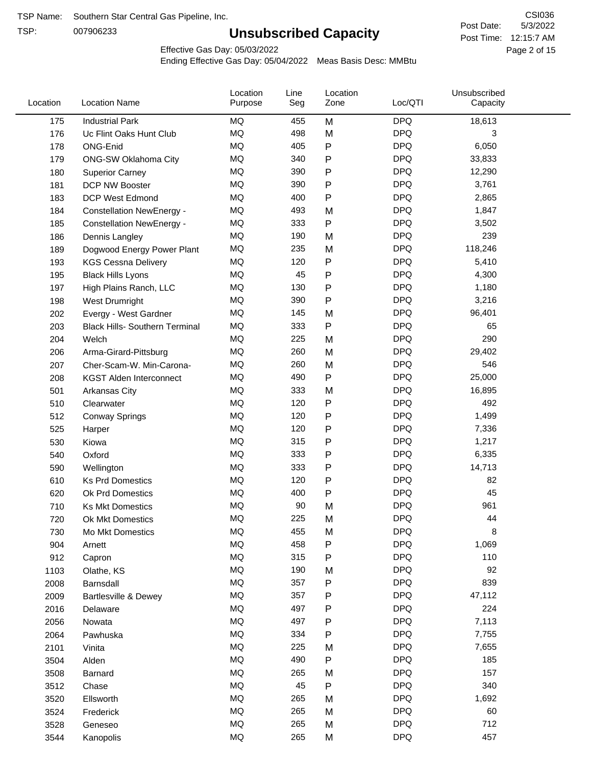TSP:

# **Unsubscribed Capacity**

5/3/2022 Page 2 of 15 Post Time: 12:15:7 AM CSI036 Post Date:

Effective Gas Day: 05/03/2022

| Location | <b>Location Name</b>                  | Location<br>Purpose | Line<br>Seg | Location<br>Zone | Loc/QTI    | Unsubscribed<br>Capacity |
|----------|---------------------------------------|---------------------|-------------|------------------|------------|--------------------------|
| 175      | <b>Industrial Park</b>                | <b>MQ</b>           | 455         | M                | <b>DPQ</b> | 18,613                   |
| 176      | Uc Flint Oaks Hunt Club               | MQ                  | 498         | M                | <b>DPQ</b> | 3                        |
| 178      | ONG-Enid                              | <b>MQ</b>           | 405         | ${\sf P}$        | <b>DPQ</b> | 6,050                    |
| 179      | <b>ONG-SW Oklahoma City</b>           | <b>MQ</b>           | 340         | ${\sf P}$        | <b>DPQ</b> | 33,833                   |
| 180      | <b>Superior Carney</b>                | <b>MQ</b>           | 390         | ${\sf P}$        | <b>DPQ</b> | 12,290                   |
| 181      | DCP NW Booster                        | <b>MQ</b>           | 390         | ${\sf P}$        | <b>DPQ</b> | 3,761                    |
| 183      | <b>DCP West Edmond</b>                | MQ                  | 400         | ${\sf P}$        | <b>DPQ</b> | 2,865                    |
| 184      | <b>Constellation NewEnergy -</b>      | MQ                  | 493         | M                | <b>DPQ</b> | 1,847                    |
| 185      | <b>Constellation NewEnergy -</b>      | MQ                  | 333         | ${\sf P}$        | <b>DPQ</b> | 3,502                    |
| 186      | Dennis Langley                        | <b>MQ</b>           | 190         | M                | <b>DPQ</b> | 239                      |
| 189      | Dogwood Energy Power Plant            | MQ                  | 235         | M                | <b>DPQ</b> | 118,246                  |
| 193      | <b>KGS Cessna Delivery</b>            | MQ                  | 120         | $\sf P$          | <b>DPQ</b> | 5,410                    |
| 195      | <b>Black Hills Lyons</b>              | MQ                  | 45          | ${\sf P}$        | <b>DPQ</b> | 4,300                    |
| 197      | High Plains Ranch, LLC                | <b>MQ</b>           | 130         | ${\sf P}$        | <b>DPQ</b> | 1,180                    |
| 198      | West Drumright                        | <b>MQ</b>           | 390         | ${\sf P}$        | <b>DPQ</b> | 3,216                    |
| 202      | Evergy - West Gardner                 | MQ                  | 145         | M                | <b>DPQ</b> | 96,401                   |
| 203      | <b>Black Hills- Southern Terminal</b> | MQ                  | 333         | ${\sf P}$        | <b>DPQ</b> | 65                       |
| 204      | Welch                                 | <b>MQ</b>           | 225         | M                | <b>DPQ</b> | 290                      |
| 206      | Arma-Girard-Pittsburg                 | <b>MQ</b>           | 260         | M                | <b>DPQ</b> | 29,402                   |
| 207      | Cher-Scam-W. Min-Carona-              | MQ                  | 260         | M                | <b>DPQ</b> | 546                      |
| 208      | <b>KGST Alden Interconnect</b>        | MQ                  | 490         | ${\sf P}$        | <b>DPQ</b> | 25,000                   |
| 501      | Arkansas City                         | MQ                  | 333         | M                | <b>DPQ</b> | 16,895                   |
| 510      | Clearwater                            | <b>MQ</b>           | 120         | P                | <b>DPQ</b> | 492                      |
| 512      | <b>Conway Springs</b>                 | <b>MQ</b>           | 120         | ${\sf P}$        | <b>DPQ</b> | 1,499                    |
| 525      | Harper                                | <b>MQ</b>           | 120         | P                | <b>DPQ</b> | 7,336                    |
| 530      | Kiowa                                 | <b>MQ</b>           | 315         | ${\sf P}$        | <b>DPQ</b> | 1,217                    |
| 540      | Oxford                                | <b>MQ</b>           | 333         | P                | <b>DPQ</b> | 6,335                    |
| 590      | Wellington                            | <b>MQ</b>           | 333         | ${\sf P}$        | <b>DPQ</b> | 14,713                   |
| 610      | <b>Ks Prd Domestics</b>               | MQ                  | 120         | ${\sf P}$        | <b>DPQ</b> | 82                       |
| 620      | Ok Prd Domestics                      | MQ                  | 400         | P                | <b>DPQ</b> | 45                       |
| 710      | <b>Ks Mkt Domestics</b>               | MQ                  | 90          | M                | <b>DPQ</b> | 961                      |
| 720      | Ok Mkt Domestics                      | MQ                  | 225         | M                | <b>DPQ</b> | 44                       |
| 730      | Mo Mkt Domestics                      | MQ                  | 455         | M                | <b>DPQ</b> | 8                        |
| 904      | Arnett                                | MQ                  | 458         | P                | <b>DPQ</b> | 1,069                    |
| 912      | Capron                                | MQ                  | 315         | ${\sf P}$        | <b>DPQ</b> | 110                      |
| 1103     | Olathe, KS                            | MQ                  | 190         | M                | <b>DPQ</b> | 92                       |
| 2008     | Barnsdall                             | MQ                  | 357         | ${\sf P}$        | <b>DPQ</b> | 839                      |
| 2009     | Bartlesville & Dewey                  | MQ                  | 357         | P                | <b>DPQ</b> | 47,112                   |
| 2016     | Delaware                              | $\sf{MQ}$           | 497         | P                | <b>DPQ</b> | 224                      |
| 2056     | Nowata                                | MQ                  | 497         | P                | <b>DPQ</b> | 7,113                    |
| 2064     | Pawhuska                              | MQ                  | 334         | P                | <b>DPQ</b> | 7,755                    |
| 2101     | Vinita                                | MQ                  | 225         | M                | <b>DPQ</b> | 7,655                    |
| 3504     | Alden                                 | MQ                  | 490         | ${\sf P}$        | <b>DPQ</b> | 185                      |
| 3508     | Barnard                               | MQ                  | 265         | M                | <b>DPQ</b> | 157                      |
| 3512     | Chase                                 | MQ                  | 45          | P                | <b>DPQ</b> | 340                      |
| 3520     | Ellsworth                             | MQ                  | 265         | M                | <b>DPQ</b> | 1,692                    |
| 3524     | Frederick                             | MQ                  | 265         | M                | <b>DPQ</b> | 60                       |
| 3528     | Geneseo                               | MQ                  | 265         | M                | <b>DPQ</b> | 712                      |
| 3544     | Kanopolis                             | MQ                  | 265         | M                | <b>DPQ</b> | 457                      |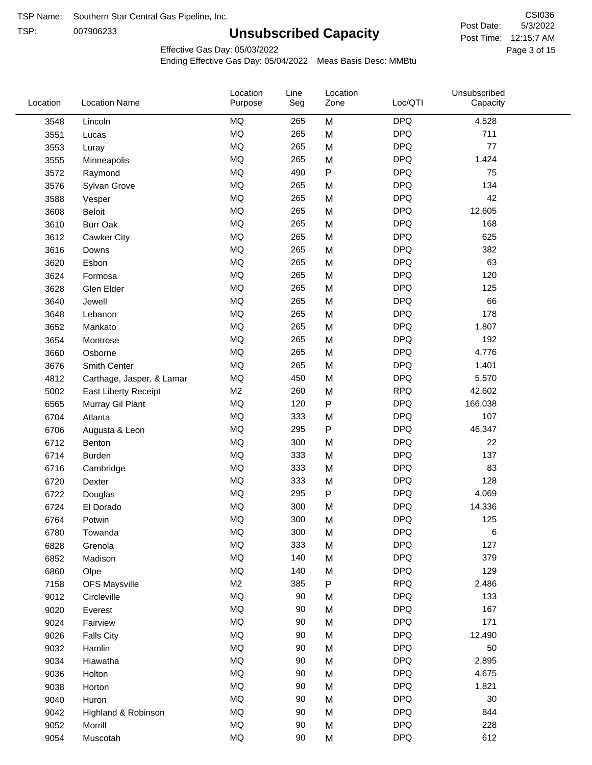TSP: 

# **Unsubscribed Capacity**

5/3/2022 Page 3 of 15 Post Time: 12:15:7 AM CSI036 Post Date:

Effective Gas Day: 05/03/2022

| Location | <b>Location Name</b>      | Location<br>Purpose | Line<br>Seg | Location<br>Zone | Loc/QTI    | Unsubscribed<br>Capacity |  |
|----------|---------------------------|---------------------|-------------|------------------|------------|--------------------------|--|
| 3548     | Lincoln                   | MQ                  | 265         | M                | <b>DPQ</b> | 4,528                    |  |
| 3551     | Lucas                     | MQ                  | 265         | M                | <b>DPQ</b> | 711                      |  |
| 3553     | Luray                     | MQ                  | 265         | M                | <b>DPQ</b> | 77                       |  |
| 3555     | Minneapolis               | MQ                  | 265         | M                | <b>DPQ</b> | 1,424                    |  |
| 3572     | Raymond                   | <b>MQ</b>           | 490         | $\mathsf{P}$     | <b>DPQ</b> | 75                       |  |
| 3576     | Sylvan Grove              | <b>MQ</b>           | 265         | M                | <b>DPQ</b> | 134                      |  |
| 3588     | Vesper                    | MQ                  | 265         | M                | <b>DPQ</b> | 42                       |  |
| 3608     | <b>Beloit</b>             | MQ                  | 265         | M                | <b>DPQ</b> | 12,605                   |  |
| 3610     | <b>Burr Oak</b>           | MQ                  | 265         | M                | <b>DPQ</b> | 168                      |  |
| 3612     | Cawker City               | <b>MQ</b>           | 265         | M                | <b>DPQ</b> | 625                      |  |
| 3616     | Downs                     | MQ                  | 265         | M                | <b>DPQ</b> | 382                      |  |
| 3620     | Esbon                     | MQ                  | 265         | M                | <b>DPQ</b> | 63                       |  |
| 3624     | Formosa                   | MQ                  | 265         | M                | <b>DPQ</b> | 120                      |  |
| 3628     | Glen Elder                | <b>MQ</b>           | 265         | M                | <b>DPQ</b> | 125                      |  |
| 3640     | Jewell                    | <b>MQ</b>           | 265         | M                | <b>DPQ</b> | 66                       |  |
| 3648     | Lebanon                   | <b>MQ</b>           | 265         | M                | <b>DPQ</b> | 178                      |  |
| 3652     | Mankato                   | MQ                  | 265         | M                | <b>DPQ</b> | 1,807                    |  |
| 3654     | Montrose                  | <b>MQ</b>           | 265         | M                | <b>DPQ</b> | 192                      |  |
| 3660     | Osborne                   | <b>MQ</b>           | 265         | M                | <b>DPQ</b> | 4,776                    |  |
| 3676     | Smith Center              | MQ                  | 265         | M                | <b>DPQ</b> | 1,401                    |  |
| 4812     | Carthage, Jasper, & Lamar | MQ                  | 450         | M                | <b>DPQ</b> | 5,570                    |  |
| 5002     | East Liberty Receipt      | M <sub>2</sub>      | 260         | M                | <b>RPQ</b> | 42,602                   |  |
| 6565     | Murray Gil Plant          | MQ                  | 120         | P                | <b>DPQ</b> | 166,038                  |  |
| 6704     | Atlanta                   | <b>MQ</b>           | 333         | M                | <b>DPQ</b> | 107                      |  |
| 6706     | Augusta & Leon            | <b>MQ</b>           | 295         | ${\sf P}$        | <b>DPQ</b> | 46,347                   |  |
| 6712     | Benton                    | MQ                  | 300         | M                | <b>DPQ</b> | 22                       |  |
| 6714     | <b>Burden</b>             | <b>MQ</b>           | 333         | M                | <b>DPQ</b> | 137                      |  |
| 6716     | Cambridge                 | MQ                  | 333         | M                | <b>DPQ</b> | 83                       |  |
| 6720     | Dexter                    | <b>MQ</b>           | 333         | M                | <b>DPQ</b> | 128                      |  |
| 6722     | Douglas                   | <b>MQ</b>           | 295         | ${\sf P}$        | <b>DPQ</b> | 4,069                    |  |
| 6724     | El Dorado                 | <b>MQ</b>           | 300         | M                | <b>DPQ</b> | 14,336                   |  |
| 6764     | Potwin                    | <b>MQ</b>           | 300         | M                | <b>DPQ</b> | 125                      |  |
| 6780     | Towanda                   | MQ                  | 300         | M                | <b>DPQ</b> | 6                        |  |
| 6828     | Grenola                   | $\sf{MQ}$           | 333         | M                | <b>DPQ</b> | 127                      |  |
| 6852     | Madison                   | <b>MQ</b>           | 140         | M                | <b>DPQ</b> | 379                      |  |
| 6860     | Olpe                      | MQ                  | 140         | M                | <b>DPQ</b> | 129                      |  |
| 7158     | <b>OFS Maysville</b>      | M <sub>2</sub>      | 385         | ${\sf P}$        | <b>RPQ</b> | 2,486                    |  |
| 9012     | Circleville               | MQ                  | 90          | M                | <b>DPQ</b> | 133                      |  |
| 9020     | Everest                   | MQ                  | 90          | M                | <b>DPQ</b> | 167                      |  |
| 9024     | Fairview                  | $\sf{MQ}$           | 90          | M                | <b>DPQ</b> | 171                      |  |
| 9026     | <b>Falls City</b>         | MQ                  | 90          | M                | <b>DPQ</b> | 12,490                   |  |
| 9032     | Hamlin                    | MQ                  | 90          | M                | <b>DPQ</b> | 50                       |  |
| 9034     | Hiawatha                  | MQ                  | $90\,$      | M                | <b>DPQ</b> | 2,895                    |  |
| 9036     | Holton                    | <b>MQ</b>           | $90\,$      | M                | <b>DPQ</b> | 4,675                    |  |
| 9038     | Horton                    | MQ                  | $90\,$      | M                | <b>DPQ</b> | 1,821                    |  |
| 9040     | Huron                     | MQ                  | 90          | M                | <b>DPQ</b> | 30                       |  |
| 9042     | Highland & Robinson       | MQ                  | 90          | M                | <b>DPQ</b> | 844                      |  |
| 9052     | Morrill                   | MQ                  | $90\,$      | M                | <b>DPQ</b> | 228                      |  |
| 9054     | Muscotah                  | MQ                  | $90\,$      | M                | <b>DPQ</b> | 612                      |  |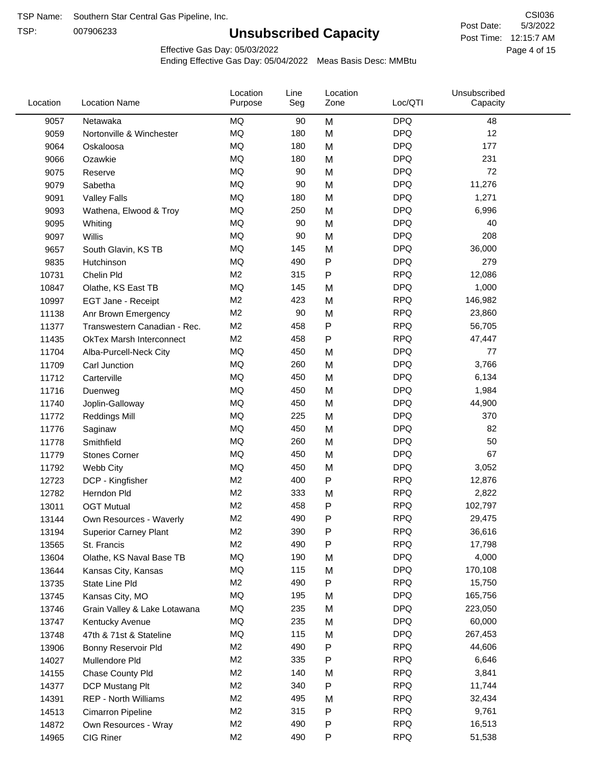TSP:

# **Unsubscribed Capacity**

5/3/2022 Page 4 of 15 Post Time: 12:15:7 AM CSI036 Post Date:

Effective Gas Day: 05/03/2022

| Location | <b>Location Name</b>            | Location<br>Purpose | Line<br>Seg | Location<br>Zone | Loc/QTI    | Unsubscribed<br>Capacity |  |
|----------|---------------------------------|---------------------|-------------|------------------|------------|--------------------------|--|
| 9057     | Netawaka                        | MQ                  | 90          | M                | <b>DPQ</b> | 48                       |  |
| 9059     | Nortonville & Winchester        | <b>MQ</b>           | 180         | M                | <b>DPQ</b> | 12                       |  |
| 9064     | Oskaloosa                       | MQ                  | 180         | M                | <b>DPQ</b> | 177                      |  |
| 9066     | Ozawkie                         | <b>MQ</b>           | 180         | M                | <b>DPQ</b> | 231                      |  |
| 9075     | Reserve                         | <b>MQ</b>           | 90          | M                | <b>DPQ</b> | 72                       |  |
| 9079     | Sabetha                         | <b>MQ</b>           | 90          | M                | <b>DPQ</b> | 11,276                   |  |
| 9091     | <b>Valley Falls</b>             | <b>MQ</b>           | 180         | M                | <b>DPQ</b> | 1,271                    |  |
| 9093     | Wathena, Elwood & Troy          | <b>MQ</b>           | 250         | M                | <b>DPQ</b> | 6,996                    |  |
| 9095     | Whiting                         | MQ                  | 90          | M                | <b>DPQ</b> | 40                       |  |
| 9097     | Willis                          | <b>MQ</b>           | 90          | M                | <b>DPQ</b> | 208                      |  |
| 9657     | South Glavin, KS TB             | MQ                  | 145         | M                | <b>DPQ</b> | 36,000                   |  |
| 9835     | Hutchinson                      | MQ                  | 490         | ${\sf P}$        | <b>DPQ</b> | 279                      |  |
| 10731    | Chelin Pld                      | M <sub>2</sub>      | 315         | $\mathsf{P}$     | <b>RPQ</b> | 12,086                   |  |
| 10847    | Olathe, KS East TB              | <b>MQ</b>           | 145         | M                | <b>DPQ</b> | 1,000                    |  |
| 10997    | EGT Jane - Receipt              | M <sub>2</sub>      | 423         | M                | <b>RPQ</b> | 146,982                  |  |
| 11138    | Anr Brown Emergency             | M <sub>2</sub>      | 90          | M                | <b>RPQ</b> | 23,860                   |  |
| 11377    | Transwestern Canadian - Rec.    | M <sub>2</sub>      | 458         | P                | <b>RPQ</b> | 56,705                   |  |
| 11435    | <b>OkTex Marsh Interconnect</b> | M <sub>2</sub>      | 458         | $\mathsf{P}$     | <b>RPQ</b> | 47,447                   |  |
| 11704    | Alba-Purcell-Neck City          | <b>MQ</b>           | 450         | M                | <b>DPQ</b> | 77                       |  |
| 11709    | Carl Junction                   | <b>MQ</b>           | 260         | M                | <b>DPQ</b> | 3,766                    |  |
| 11712    | Carterville                     | MQ                  | 450         | M                | <b>DPQ</b> | 6,134                    |  |
| 11716    | Duenweg                         | <b>MQ</b>           | 450         | M                | <b>DPQ</b> | 1,984                    |  |
| 11740    | Joplin-Galloway                 | <b>MQ</b>           | 450         | M                | <b>DPQ</b> | 44,900                   |  |
| 11772    | <b>Reddings Mill</b>            | <b>MQ</b>           | 225         | M                | <b>DPQ</b> | 370                      |  |
| 11776    | Saginaw                         | <b>MQ</b>           | 450         | M                | <b>DPQ</b> | 82                       |  |
| 11778    | Smithfield                      | MQ                  | 260         | M                | <b>DPQ</b> | 50                       |  |
| 11779    | <b>Stones Corner</b>            | <b>MQ</b>           | 450         | M                | <b>DPQ</b> | 67                       |  |
| 11792    | Webb City                       | <b>MQ</b>           | 450         | M                | <b>DPQ</b> | 3,052                    |  |
| 12723    | DCP - Kingfisher                | M <sub>2</sub>      | 400         | $\sf P$          | <b>RPQ</b> | 12,876                   |  |
| 12782    | Herndon Pld                     | M <sub>2</sub>      | 333         | M                | <b>RPQ</b> | 2,822                    |  |
| 13011    | <b>OGT Mutual</b>               | M <sub>2</sub>      | 458         | P                | <b>RPQ</b> | 102,797                  |  |
| 13144    | Own Resources - Waverly         | M <sub>2</sub>      | 490         | P                | <b>RPQ</b> | 29,475                   |  |
| 13194    | <b>Superior Carney Plant</b>    | M <sub>2</sub>      | 390         | ${\sf P}$        | <b>RPQ</b> | 36,616                   |  |
| 13565    | St. Francis                     | M <sub>2</sub>      | 490         | P                | <b>RPQ</b> | 17,798                   |  |
| 13604    | Olathe, KS Naval Base TB        | MQ                  | 190         | M                | <b>DPQ</b> | 4,000                    |  |
| 13644    | Kansas City, Kansas             | MQ                  | 115         | M                | <b>DPQ</b> | 170,108                  |  |
| 13735    | State Line Pld                  | M <sub>2</sub>      | 490         | P                | <b>RPQ</b> | 15,750                   |  |
| 13745    | Kansas City, MO                 | MQ                  | 195         | M                | <b>DPQ</b> | 165,756                  |  |
| 13746    | Grain Valley & Lake Lotawana    | MQ                  | 235         | M                | <b>DPQ</b> | 223,050                  |  |
| 13747    | Kentucky Avenue                 | MQ                  | 235         | M                | <b>DPQ</b> | 60,000                   |  |
| 13748    | 47th & 71st & Stateline         | MQ                  | 115         | M                | <b>DPQ</b> | 267,453                  |  |
| 13906    | Bonny Reservoir Pld             | M <sub>2</sub>      | 490         | ${\sf P}$        | <b>RPQ</b> | 44,606                   |  |
| 14027    | Mullendore Pld                  | M <sub>2</sub>      | 335         | P                | <b>RPQ</b> | 6,646                    |  |
| 14155    | Chase County Pld                | M <sub>2</sub>      | 140         | M                | <b>RPQ</b> | 3,841                    |  |
| 14377    | DCP Mustang Plt                 | M <sub>2</sub>      | 340         | Ρ                | <b>RPQ</b> | 11,744                   |  |
| 14391    | <b>REP - North Williams</b>     | M <sub>2</sub>      | 495         | M                | <b>RPQ</b> | 32,434                   |  |
| 14513    | Cimarron Pipeline               | M <sub>2</sub>      | 315         | ${\sf P}$        | <b>RPQ</b> | 9,761                    |  |
| 14872    | Own Resources - Wray            | M <sub>2</sub>      | 490         | P                | <b>RPQ</b> | 16,513                   |  |
| 14965    | CIG Riner                       | M <sub>2</sub>      | 490         | P                | <b>RPQ</b> | 51,538                   |  |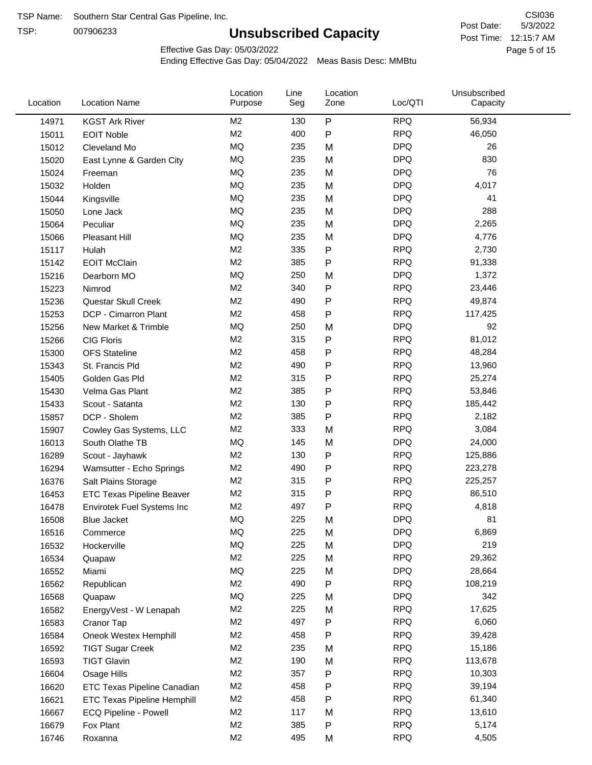TSP:

# **Unsubscribed Capacity**

5/3/2022 Page 5 of 15 Post Time: 12:15:7 AM CSI036 Post Date:

Effective Gas Day: 05/03/2022

| Location | <b>Location Name</b>               | Location<br>Purpose | Line<br>Seg | Location<br>Zone | Loc/QTI    | Unsubscribed<br>Capacity |  |
|----------|------------------------------------|---------------------|-------------|------------------|------------|--------------------------|--|
| 14971    | <b>KGST Ark River</b>              | M <sub>2</sub>      | 130         | $\mathsf{P}$     | <b>RPQ</b> | 56,934                   |  |
| 15011    | <b>EOIT Noble</b>                  | M <sub>2</sub>      | 400         | $\mathsf{P}$     | <b>RPQ</b> | 46,050                   |  |
| 15012    | Cleveland Mo                       | MQ                  | 235         | M                | <b>DPQ</b> | 26                       |  |
| 15020    | East Lynne & Garden City           | MQ                  | 235         | M                | <b>DPQ</b> | 830                      |  |
| 15024    | Freeman                            | MQ                  | 235         | M                | <b>DPQ</b> | 76                       |  |
| 15032    | Holden                             | MQ                  | 235         | M                | <b>DPQ</b> | 4,017                    |  |
| 15044    | Kingsville                         | MQ                  | 235         | M                | <b>DPQ</b> | 41                       |  |
| 15050    | Lone Jack                          | MQ                  | 235         | M                | <b>DPQ</b> | 288                      |  |
| 15064    | Peculiar                           | MQ                  | 235         | M                | <b>DPQ</b> | 2,265                    |  |
| 15066    | Pleasant Hill                      | MQ                  | 235         | M                | <b>DPQ</b> | 4,776                    |  |
| 15117    | Hulah                              | M <sub>2</sub>      | 335         | ${\sf P}$        | <b>RPQ</b> | 2,730                    |  |
| 15142    | <b>EOIT McClain</b>                | M <sub>2</sub>      | 385         | $\mathsf{P}$     | <b>RPQ</b> | 91,338                   |  |
| 15216    | Dearborn MO                        | <b>MQ</b>           | 250         | M                | <b>DPQ</b> | 1,372                    |  |
| 15223    | Nimrod                             | M <sub>2</sub>      | 340         | ${\sf P}$        | <b>RPQ</b> | 23,446                   |  |
| 15236    | Questar Skull Creek                | M <sub>2</sub>      | 490         | $\mathsf{P}$     | <b>RPQ</b> | 49,874                   |  |
| 15253    | DCP - Cimarron Plant               | M <sub>2</sub>      | 458         | $\mathsf{P}$     | <b>RPQ</b> | 117,425                  |  |
| 15256    | New Market & Trimble               | MQ                  | 250         | M                | <b>DPQ</b> | 92                       |  |
| 15266    | <b>CIG Floris</b>                  | M <sub>2</sub>      | 315         | $\mathsf{P}$     | <b>RPQ</b> | 81,012                   |  |
| 15300    | <b>OFS Stateline</b>               | M <sub>2</sub>      | 458         | P                | <b>RPQ</b> | 48,284                   |  |
| 15343    | St. Francis Pld                    | M <sub>2</sub>      | 490         | P                | <b>RPQ</b> | 13,960                   |  |
| 15405    | Golden Gas Pld                     | M <sub>2</sub>      | 315         | $\mathsf{P}$     | <b>RPQ</b> | 25,274                   |  |
| 15430    | Velma Gas Plant                    | M <sub>2</sub>      | 385         | $\mathsf{P}$     | <b>RPQ</b> | 53,846                   |  |
| 15433    | Scout - Satanta                    | M <sub>2</sub>      | 130         | ${\sf P}$        | <b>RPQ</b> | 185,442                  |  |
| 15857    | DCP - Sholem                       | M <sub>2</sub>      | 385         | $\mathsf{P}$     | <b>RPQ</b> | 2,182                    |  |
| 15907    | Cowley Gas Systems, LLC            | M <sub>2</sub>      | 333         | M                | <b>RPQ</b> | 3,084                    |  |
| 16013    | South Olathe TB                    | MQ                  | 145         | M                | <b>DPQ</b> | 24,000                   |  |
| 16289    | Scout - Jayhawk                    | M <sub>2</sub>      | 130         | ${\sf P}$        | <b>RPQ</b> | 125,886                  |  |
| 16294    | Wamsutter - Echo Springs           | M <sub>2</sub>      | 490         | P                | <b>RPQ</b> | 223,278                  |  |
| 16376    | Salt Plains Storage                | M <sub>2</sub>      | 315         | P                | <b>RPQ</b> | 225,257                  |  |
| 16453    | <b>ETC Texas Pipeline Beaver</b>   | M <sub>2</sub>      | 315         | ${\sf P}$        | <b>RPQ</b> | 86,510                   |  |
| 16478    | Envirotek Fuel Systems Inc         | M <sub>2</sub>      | 497         | P                | <b>RPQ</b> | 4,818                    |  |
| 16508    | Blue Jacket                        | MQ                  | 225         | M                | <b>DPQ</b> | 81                       |  |
| 16516    | Commerce                           | MQ                  | 225         | M                | <b>DPQ</b> | 6,869                    |  |
| 16532    | Hockerville                        | MQ                  | 225         | M                | <b>DPQ</b> | 219                      |  |
| 16534    | Quapaw                             | M <sub>2</sub>      | 225         | M                | <b>RPQ</b> | 29,362                   |  |
| 16552    | Miami                              | MQ                  | 225         | M                | <b>DPQ</b> | 28,664                   |  |
| 16562    | Republican                         | M <sub>2</sub>      | 490         | ${\sf P}$        | <b>RPQ</b> | 108,219                  |  |
| 16568    | Quapaw                             | MQ                  | 225         | M                | <b>DPQ</b> | 342                      |  |
| 16582    | EnergyVest - W Lenapah             | M <sub>2</sub>      | 225         | M                | <b>RPQ</b> | 17,625                   |  |
| 16583    | Cranor Tap                         | M <sub>2</sub>      | 497         | P                | <b>RPQ</b> | 6,060                    |  |
| 16584    | Oneok Westex Hemphill              | M <sub>2</sub>      | 458         | P                | <b>RPQ</b> | 39,428                   |  |
| 16592    | <b>TIGT Sugar Creek</b>            | M <sub>2</sub>      | 235         | M                | <b>RPQ</b> | 15,186                   |  |
| 16593    | <b>TIGT Glavin</b>                 | M <sub>2</sub>      | 190         | M                | <b>RPQ</b> | 113,678                  |  |
| 16604    | Osage Hills                        | M <sub>2</sub>      | 357         | ${\sf P}$        | <b>RPQ</b> | 10,303                   |  |
| 16620    | ETC Texas Pipeline Canadian        | M <sub>2</sub>      | 458         | $\mathsf{P}$     | <b>RPQ</b> | 39,194                   |  |
| 16621    | <b>ETC Texas Pipeline Hemphill</b> | M <sub>2</sub>      | 458         | $\mathsf{P}$     | <b>RPQ</b> | 61,340                   |  |
| 16667    | ECQ Pipeline - Powell              | M <sub>2</sub>      | 117         | M                | <b>RPQ</b> | 13,610                   |  |
| 16679    | Fox Plant                          | M <sub>2</sub>      | 385         | P                | <b>RPQ</b> | 5,174                    |  |
| 16746    | Roxanna                            | M <sub>2</sub>      | 495         | M                | <b>RPQ</b> | 4,505                    |  |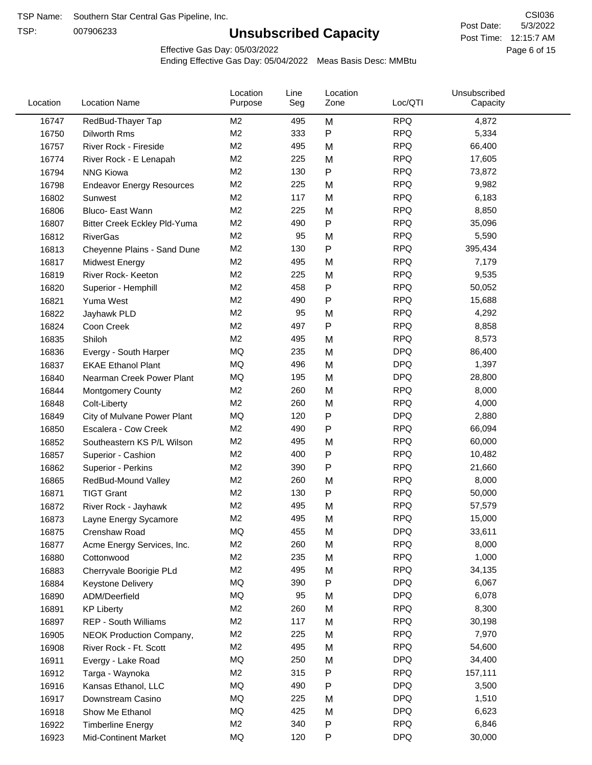TSP:

# **Unsubscribed Capacity**

5/3/2022 Page 6 of 15 Post Time: 12:15:7 AM CSI036 Post Date:

Effective Gas Day: 05/03/2022

| Location | <b>Location Name</b>                | Location<br>Purpose | Line<br>Seg | Location<br>Zone | Loc/QTI    | Unsubscribed<br>Capacity |  |
|----------|-------------------------------------|---------------------|-------------|------------------|------------|--------------------------|--|
| 16747    | RedBud-Thayer Tap                   | M2                  | 495         | M                | <b>RPQ</b> | 4,872                    |  |
| 16750    | Dilworth Rms                        | M2                  | 333         | P                | <b>RPQ</b> | 5,334                    |  |
| 16757    | River Rock - Fireside               | M <sub>2</sub>      | 495         | M                | <b>RPQ</b> | 66,400                   |  |
| 16774    | River Rock - E Lenapah              | M <sub>2</sub>      | 225         | M                | <b>RPQ</b> | 17,605                   |  |
| 16794    | <b>NNG Kiowa</b>                    | M <sub>2</sub>      | 130         | P                | <b>RPQ</b> | 73,872                   |  |
| 16798    | <b>Endeavor Energy Resources</b>    | M <sub>2</sub>      | 225         | M                | <b>RPQ</b> | 9,982                    |  |
| 16802    | Sunwest                             | M2                  | 117         | M                | <b>RPQ</b> | 6,183                    |  |
| 16806    | Bluco- East Wann                    | M <sub>2</sub>      | 225         | M                | <b>RPQ</b> | 8,850                    |  |
| 16807    | <b>Bitter Creek Eckley Pld-Yuma</b> | M2                  | 490         | P                | <b>RPQ</b> | 35,096                   |  |
| 16812    | <b>RiverGas</b>                     | M2                  | 95          | M                | <b>RPQ</b> | 5,590                    |  |
| 16813    | Cheyenne Plains - Sand Dune         | M <sub>2</sub>      | 130         | P                | <b>RPQ</b> | 395,434                  |  |
| 16817    | <b>Midwest Energy</b>               | M <sub>2</sub>      | 495         | M                | <b>RPQ</b> | 7,179                    |  |
| 16819    | River Rock- Keeton                  | M <sub>2</sub>      | 225         | M                | <b>RPQ</b> | 9,535                    |  |
| 16820    | Superior - Hemphill                 | M <sub>2</sub>      | 458         | Ρ                | <b>RPQ</b> | 50,052                   |  |
| 16821    | Yuma West                           | M <sub>2</sub>      | 490         | P                | <b>RPQ</b> | 15,688                   |  |
| 16822    | Jayhawk PLD                         | M <sub>2</sub>      | 95          | M                | <b>RPQ</b> | 4,292                    |  |
| 16824    | Coon Creek                          | M2                  | 497         | P                | <b>RPQ</b> | 8,858                    |  |
| 16835    | Shiloh                              | M2                  | 495         | M                | <b>RPQ</b> | 8,573                    |  |
| 16836    | Evergy - South Harper               | MQ                  | 235         | M                | <b>DPQ</b> | 86,400                   |  |
| 16837    | <b>EKAE Ethanol Plant</b>           | MQ                  | 496         | M                | <b>DPQ</b> | 1,397                    |  |
| 16840    | Nearman Creek Power Plant           | MQ                  | 195         | M                | <b>DPQ</b> | 28,800                   |  |
| 16844    | <b>Montgomery County</b>            | M <sub>2</sub>      | 260         | M                | <b>RPQ</b> | 8,000                    |  |
| 16848    | Colt-Liberty                        | M <sub>2</sub>      | 260         | M                | <b>RPQ</b> | 4,000                    |  |
| 16849    | City of Mulvane Power Plant         | <b>MQ</b>           | 120         | P                | <b>DPQ</b> | 2,880                    |  |
| 16850    | Escalera - Cow Creek                | M2                  | 490         | P                | <b>RPQ</b> | 66,094                   |  |
| 16852    | Southeastern KS P/L Wilson          | M <sub>2</sub>      | 495         | M                | <b>RPQ</b> | 60,000                   |  |
| 16857    | Superior - Cashion                  | M2                  | 400         | P                | <b>RPQ</b> | 10,482                   |  |
| 16862    | Superior - Perkins                  | M2                  | 390         | P                | <b>RPQ</b> | 21,660                   |  |
| 16865    | RedBud-Mound Valley                 | M <sub>2</sub>      | 260         | M                | <b>RPQ</b> | 8,000                    |  |
| 16871    | <b>TIGT Grant</b>                   | M <sub>2</sub>      | 130         | Ρ                | <b>RPQ</b> | 50,000                   |  |
| 16872    | River Rock - Jayhawk                | M <sub>2</sub>      | 495         | M                | <b>RPQ</b> | 57,579                   |  |
| 16873    | Layne Energy Sycamore               | M <sub>2</sub>      | 495         | M                | <b>RPQ</b> | 15,000                   |  |
| 16875    | Crenshaw Road                       | MQ                  | 455         | M                | <b>DPQ</b> | 33,611                   |  |
| 16877    | Acme Energy Services, Inc.          | M <sub>2</sub>      | 260         | M                | <b>RPQ</b> | 8,000                    |  |
| 16880    | Cottonwood                          | M <sub>2</sub>      | 235         | M                | <b>RPQ</b> | 1,000                    |  |
| 16883    | Cherryvale Boorigie PLd             | M <sub>2</sub>      | 495         | M                | <b>RPQ</b> | 34,135                   |  |
| 16884    | <b>Keystone Delivery</b>            | MQ                  | 390         | P                | <b>DPQ</b> | 6,067                    |  |
| 16890    | ADM/Deerfield                       | MQ                  | 95          | M                | <b>DPQ</b> | 6,078                    |  |
| 16891    | <b>KP Liberty</b>                   | M <sub>2</sub>      | 260         | M                | <b>RPQ</b> | 8,300                    |  |
| 16897    | REP - South Williams                | M <sub>2</sub>      | 117         | M                | <b>RPQ</b> | 30,198                   |  |
| 16905    | NEOK Production Company,            | M <sub>2</sub>      | 225         | M                | <b>RPQ</b> | 7,970                    |  |
| 16908    | River Rock - Ft. Scott              | M <sub>2</sub>      | 495         | M                | <b>RPQ</b> | 54,600                   |  |
| 16911    | Evergy - Lake Road                  | MQ                  | 250         | M                | <b>DPQ</b> | 34,400                   |  |
| 16912    | Targa - Waynoka                     | M <sub>2</sub>      | 315         | P                | <b>RPQ</b> | 157,111                  |  |
| 16916    | Kansas Ethanol, LLC                 | MQ                  | 490         | P                | <b>DPQ</b> | 3,500                    |  |
| 16917    | Downstream Casino                   | MQ                  | 225         | M                | <b>DPQ</b> | 1,510                    |  |
| 16918    | Show Me Ethanol                     | MQ                  | 425         | M                | <b>DPQ</b> | 6,623                    |  |
| 16922    | <b>Timberline Energy</b>            | M <sub>2</sub>      | 340         | P                | <b>RPQ</b> | 6,846                    |  |
| 16923    | <b>Mid-Continent Market</b>         | MQ                  | 120         | P                | <b>DPQ</b> | 30,000                   |  |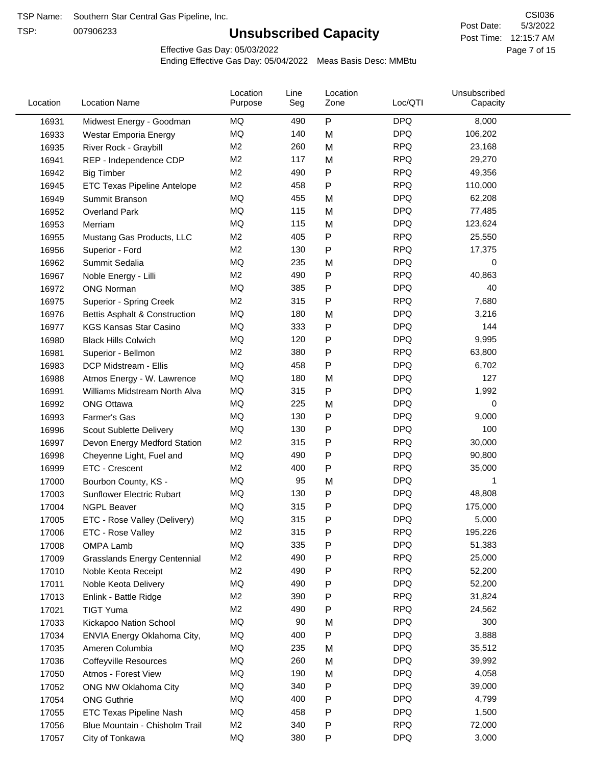TSP:

# **Unsubscribed Capacity**

5/3/2022 Page 7 of 15 Post Time: 12:15:7 AM CSI036 Post Date:

Effective Gas Day: 05/03/2022

| Location | <b>Location Name</b>                     | Location<br>Purpose | Line<br>Seg | Location<br>Zone | Loc/QTI    | Unsubscribed<br>Capacity |  |
|----------|------------------------------------------|---------------------|-------------|------------------|------------|--------------------------|--|
| 16931    | Midwest Energy - Goodman                 | MQ                  | 490         | P                | <b>DPQ</b> | 8,000                    |  |
| 16933    | Westar Emporia Energy                    | MQ                  | 140         | M                | <b>DPQ</b> | 106,202                  |  |
| 16935    | River Rock - Graybill                    | M <sub>2</sub>      | 260         | M                | <b>RPQ</b> | 23,168                   |  |
| 16941    | REP - Independence CDP                   | M <sub>2</sub>      | 117         | M                | <b>RPQ</b> | 29,270                   |  |
| 16942    | <b>Big Timber</b>                        | M <sub>2</sub>      | 490         | Ρ                | <b>RPQ</b> | 49,356                   |  |
| 16945    | <b>ETC Texas Pipeline Antelope</b>       | M <sub>2</sub>      | 458         | Ρ                | <b>RPQ</b> | 110,000                  |  |
| 16949    | Summit Branson                           | MQ                  | 455         | M                | <b>DPQ</b> | 62,208                   |  |
| 16952    | <b>Overland Park</b>                     | <b>MQ</b>           | 115         | M                | <b>DPQ</b> | 77,485                   |  |
| 16953    | Merriam                                  | MQ                  | 115         | M                | <b>DPQ</b> | 123,624                  |  |
| 16955    | Mustang Gas Products, LLC                | M <sub>2</sub>      | 405         | P                | <b>RPQ</b> | 25,550                   |  |
| 16956    | Superior - Ford                          | M <sub>2</sub>      | 130         | Ρ                | <b>RPQ</b> | 17,375                   |  |
| 16962    | Summit Sedalia                           | MQ                  | 235         | M                | <b>DPQ</b> | 0                        |  |
| 16967    | Noble Energy - Lilli                     | M <sub>2</sub>      | 490         | Ρ                | <b>RPQ</b> | 40,863                   |  |
| 16972    | <b>ONG Norman</b>                        | MQ                  | 385         | Ρ                | <b>DPQ</b> | 40                       |  |
| 16975    | Superior - Spring Creek                  | M <sub>2</sub>      | 315         | Ρ                | <b>RPQ</b> | 7,680                    |  |
| 16976    | <b>Bettis Asphalt &amp; Construction</b> | MQ                  | 180         | M                | <b>DPQ</b> | 3,216                    |  |
| 16977    | <b>KGS Kansas Star Casino</b>            | MQ                  | 333         | P                | <b>DPQ</b> | 144                      |  |
| 16980    | <b>Black Hills Colwich</b>               | MQ                  | 120         | P                | <b>DPQ</b> | 9,995                    |  |
| 16981    | Superior - Bellmon                       | M <sub>2</sub>      | 380         | P                | <b>RPQ</b> | 63,800                   |  |
| 16983    | DCP Midstream - Ellis                    | MQ                  | 458         | Ρ                | <b>DPQ</b> | 6,702                    |  |
| 16988    | Atmos Energy - W. Lawrence               | MQ                  | 180         | M                | <b>DPQ</b> | 127                      |  |
| 16991    | Williams Midstream North Alva            | <b>MQ</b>           | 315         | P                | <b>DPQ</b> | 1,992                    |  |
| 16992    | <b>ONG Ottawa</b>                        | MQ                  | 225         | M                | <b>DPQ</b> | 0                        |  |
| 16993    | Farmer's Gas                             | MQ                  | 130         | Ρ                | <b>DPQ</b> | 9,000                    |  |
| 16996    | Scout Sublette Delivery                  | MQ                  | 130         | Ρ                | <b>DPQ</b> | 100                      |  |
| 16997    | Devon Energy Medford Station             | M <sub>2</sub>      | 315         | P                | <b>RPQ</b> | 30,000                   |  |
| 16998    | Cheyenne Light, Fuel and                 | MQ                  | 490         | P                | <b>DPQ</b> | 90,800                   |  |
| 16999    | ETC - Crescent                           | M <sub>2</sub>      | 400         | P                | <b>RPQ</b> | 35,000                   |  |
|          | Bourbon County, KS -                     | MQ                  | 95          | M                | <b>DPQ</b> | 1                        |  |
| 17000    |                                          | MQ                  | 130         |                  | <b>DPQ</b> | 48,808                   |  |
| 17003    | Sunflower Electric Rubart                | MQ                  | 315         | Ρ<br>Ρ           | <b>DPQ</b> | 175,000                  |  |
| 17004    | <b>NGPL Beaver</b>                       | MQ                  | 315         |                  | <b>DPQ</b> | 5,000                    |  |
| 17005    | ETC - Rose Valley (Delivery)             | M2                  | 315         | P<br>P           | <b>RPQ</b> | 195,226                  |  |
| 17006    | ETC - Rose Valley                        | MQ                  | 335         |                  | <b>DPQ</b> | 51,383                   |  |
| 17008    | OMPA Lamb                                | M <sub>2</sub>      | 490         | Ρ                | <b>RPQ</b> |                          |  |
| 17009    | <b>Grasslands Energy Centennial</b>      | M <sub>2</sub>      | 490         | Ρ                | <b>RPQ</b> | 25,000<br>52,200         |  |
| 17010    | Noble Keota Receipt                      | MQ                  |             | Ρ                | <b>DPQ</b> |                          |  |
| 17011    | Noble Keota Delivery                     | M <sub>2</sub>      | 490         | P                | <b>RPQ</b> | 52,200                   |  |
| 17013    | Enlink - Battle Ridge                    | M2                  | 390         | Ρ                | <b>RPQ</b> | 31,824                   |  |
| 17021    | <b>TIGT Yuma</b>                         | MQ                  | 490<br>90   | Ρ                | <b>DPQ</b> | 24,562<br>300            |  |
| 17033    | Kickapoo Nation School                   |                     |             | M                |            |                          |  |
| 17034    | ENVIA Energy Oklahoma City,              | MQ                  | 400         | Ρ                | <b>DPQ</b> | 3,888                    |  |
| 17035    | Ameren Columbia                          | MQ                  | 235         | M                | <b>DPQ</b> | 35,512                   |  |
| 17036    | <b>Coffeyville Resources</b>             | MQ                  | 260         | M                | <b>DPQ</b> | 39,992                   |  |
| 17050    | Atmos - Forest View                      | MQ                  | 190         | M                | <b>DPQ</b> | 4,058                    |  |
| 17052    | ONG NW Oklahoma City                     | MQ                  | 340         | P                | <b>DPQ</b> | 39,000                   |  |
| 17054    | <b>ONG Guthrie</b>                       | MQ                  | 400         | Ρ                | <b>DPQ</b> | 4,799                    |  |
| 17055    | <b>ETC Texas Pipeline Nash</b>           | MQ                  | 458         | Ρ                | <b>DPQ</b> | 1,500                    |  |
| 17056    | Blue Mountain - Chisholm Trail           | M <sub>2</sub>      | 340         | Ρ                | <b>RPQ</b> | 72,000                   |  |
| 17057    | City of Tonkawa                          | MQ                  | 380         | P                | <b>DPQ</b> | 3,000                    |  |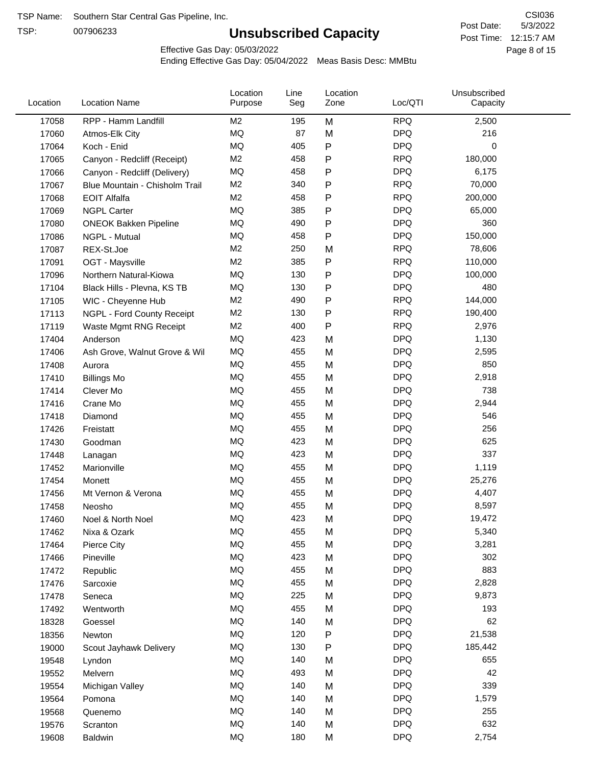TSP:

# **Unsubscribed Capacity**

5/3/2022 Page 8 of 15 Post Time: 12:15:7 AM CSI036 Post Date:

Effective Gas Day: 05/03/2022

| Location | <b>Location Name</b>           | Location<br>Purpose | Line<br>Seg | Location<br>Zone | Loc/QTI    | Unsubscribed<br>Capacity |  |
|----------|--------------------------------|---------------------|-------------|------------------|------------|--------------------------|--|
| 17058    | RPP - Hamm Landfill            | M <sub>2</sub>      | 195         | M                | <b>RPQ</b> | 2,500                    |  |
| 17060    | Atmos-Elk City                 | MQ                  | 87          | M                | <b>DPQ</b> | 216                      |  |
| 17064    | Koch - Enid                    | MQ                  | 405         | ${\sf P}$        | <b>DPQ</b> | 0                        |  |
| 17065    | Canyon - Redcliff (Receipt)    | M <sub>2</sub>      | 458         | $\mathsf{P}$     | <b>RPQ</b> | 180,000                  |  |
| 17066    | Canyon - Redcliff (Delivery)   | MQ                  | 458         | $\mathsf{P}$     | <b>DPQ</b> | 6,175                    |  |
| 17067    | Blue Mountain - Chisholm Trail | M <sub>2</sub>      | 340         | $\mathsf{P}$     | <b>RPQ</b> | 70,000                   |  |
| 17068    | <b>EOIT Alfalfa</b>            | M <sub>2</sub>      | 458         | $\mathsf{P}$     | <b>RPQ</b> | 200,000                  |  |
| 17069    | <b>NGPL Carter</b>             | MQ                  | 385         | $\mathsf{P}$     | <b>DPQ</b> | 65,000                   |  |
| 17080    | <b>ONEOK Bakken Pipeline</b>   | MQ                  | 490         | $\mathsf{P}$     | <b>DPQ</b> | 360                      |  |
| 17086    | NGPL - Mutual                  | MQ                  | 458         | $\mathsf{P}$     | <b>DPQ</b> | 150,000                  |  |
| 17087    | REX-St.Joe                     | M <sub>2</sub>      | 250         | M                | <b>RPQ</b> | 78,606                   |  |
| 17091    | OGT - Maysville                | M <sub>2</sub>      | 385         | $\mathsf{P}$     | <b>RPQ</b> | 110,000                  |  |
| 17096    | Northern Natural-Kiowa         | <b>MQ</b>           | 130         | $\mathsf{P}$     | <b>DPQ</b> | 100,000                  |  |
| 17104    | Black Hills - Plevna, KS TB    | <b>MQ</b>           | 130         | $\mathsf{P}$     | <b>DPQ</b> | 480                      |  |
| 17105    | WIC - Cheyenne Hub             | M <sub>2</sub>      | 490         | ${\sf P}$        | <b>RPQ</b> | 144,000                  |  |
| 17113    | NGPL - Ford County Receipt     | M <sub>2</sub>      | 130         | $\mathsf{P}$     | <b>RPQ</b> | 190,400                  |  |
| 17119    | Waste Mgmt RNG Receipt         | M <sub>2</sub>      | 400         | $\mathsf{P}$     | <b>RPQ</b> | 2,976                    |  |
| 17404    | Anderson                       | MQ                  | 423         | M                | <b>DPQ</b> | 1,130                    |  |
| 17406    | Ash Grove, Walnut Grove & Wil  | MQ                  | 455         | M                | <b>DPQ</b> | 2,595                    |  |
| 17408    | Aurora                         | MQ                  | 455         | M                | <b>DPQ</b> | 850                      |  |
| 17410    | <b>Billings Mo</b>             | MQ                  | 455         | M                | <b>DPQ</b> | 2,918                    |  |
| 17414    | Clever Mo                      | <b>MQ</b>           | 455         | M                | <b>DPQ</b> | 738                      |  |
| 17416    | Crane Mo                       | MQ                  | 455         | M                | <b>DPQ</b> | 2,944                    |  |
| 17418    | Diamond                        | <b>MQ</b>           | 455         | M                | <b>DPQ</b> | 546                      |  |
| 17426    | Freistatt                      | <b>MQ</b>           | 455         | M                | <b>DPQ</b> | 256                      |  |
| 17430    | Goodman                        | MQ                  | 423         | M                | <b>DPQ</b> | 625                      |  |
| 17448    | Lanagan                        | MQ                  | 423         | M                | <b>DPQ</b> | 337                      |  |
| 17452    | Marionville                    | MQ                  | 455         | M                | <b>DPQ</b> | 1,119                    |  |
| 17454    | Monett                         | MQ                  | 455         | M                | <b>DPQ</b> | 25,276                   |  |
| 17456    | Mt Vernon & Verona             | MQ                  | 455         | M                | <b>DPQ</b> | 4,407                    |  |
| 17458    | Neosho                         | <b>MQ</b>           | 455         | M                | <b>DPQ</b> | 8,597                    |  |
| 17460    | Noel & North Noel              | MQ                  | 423         | M                | <b>DPQ</b> | 19,472                   |  |
| 17462    | Nixa & Ozark                   | MQ                  | 455         | M                | <b>DPQ</b> | 5,340                    |  |
| 17464    | Pierce City                    | MQ                  | 455         | M                | <b>DPQ</b> | 3,281                    |  |
| 17466    | Pineville                      | $\sf{MQ}$           | 423         | M                | <b>DPQ</b> | 302                      |  |
| 17472    | Republic                       | MQ                  | 455         | M                | <b>DPQ</b> | 883                      |  |
| 17476    | Sarcoxie                       | MQ                  | 455         | M                | <b>DPQ</b> | 2,828                    |  |
| 17478    | Seneca                         | MQ                  | 225         | M                | <b>DPQ</b> | 9,873                    |  |
| 17492    | Wentworth                      | MQ                  | 455         | M                | <b>DPQ</b> | 193                      |  |
| 18328    | Goessel                        | MQ                  | 140         | M                | <b>DPQ</b> | 62                       |  |
| 18356    | Newton                         | MQ                  | 120         | P                | <b>DPQ</b> | 21,538                   |  |
| 19000    | Scout Jayhawk Delivery         | MQ                  | 130         | P                | <b>DPQ</b> | 185,442                  |  |
| 19548    | Lyndon                         | MQ                  | 140         | M                | <b>DPQ</b> | 655                      |  |
| 19552    | Melvern                        | MQ                  | 493         | M                | <b>DPQ</b> | 42                       |  |
| 19554    | Michigan Valley                | MQ                  | 140         | M                | <b>DPQ</b> | 339                      |  |
| 19564    | Pomona                         | MQ                  | 140         | M                | <b>DPQ</b> | 1,579                    |  |
| 19568    | Quenemo                        | MQ                  | 140         | M                | <b>DPQ</b> | 255                      |  |
| 19576    | Scranton                       | MQ                  | 140         | M                | <b>DPQ</b> | 632                      |  |
| 19608    | Baldwin                        | $\sf{MQ}$           | 180         | M                | <b>DPQ</b> | 2,754                    |  |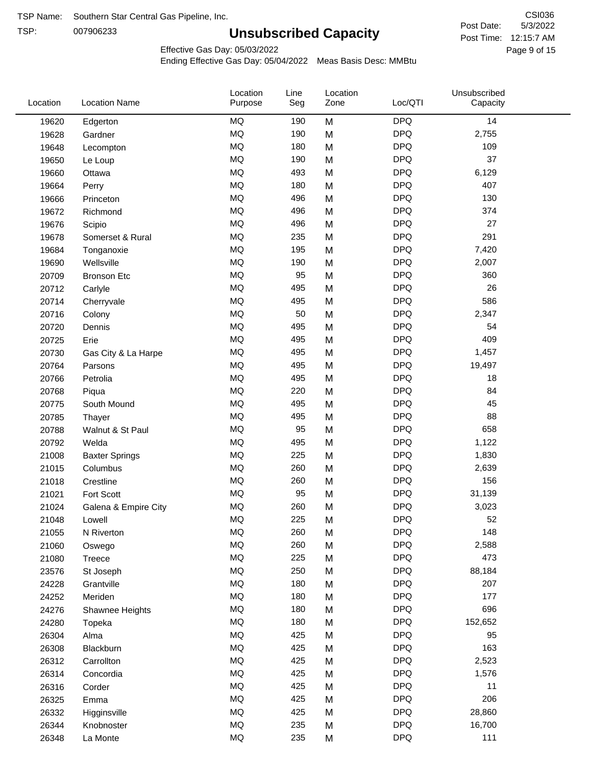TSP:

# **Unsubscribed Capacity**

Page 9 of 15 Post Time: 12:15:7 AM CSI036 Post Date:

Effective Gas Day: 05/03/2022

Ending Effective Gas Day: 05/04/2022 Meas Basis Desc: MMBtu

| Location<br>Line<br>Location<br>Loc/QTI<br>Location<br><b>Location Name</b><br>Seg<br>Zone<br>Purpose | Unsubscribed<br>Capacity |
|-------------------------------------------------------------------------------------------------------|--------------------------|
| <b>DPQ</b><br>MQ<br>190<br>M<br>19620<br>Edgerton                                                     | 14                       |
| MQ<br><b>DPQ</b><br>190<br>M<br>19628<br>Gardner                                                      | 2,755                    |
| MQ<br><b>DPQ</b><br>180<br>M<br>19648<br>Lecompton                                                    | 109                      |
| <b>MQ</b><br><b>DPQ</b><br>190<br>19650<br>M<br>Le Loup                                               | 37                       |
| <b>MQ</b><br>493<br>M<br><b>DPQ</b><br>19660<br>Ottawa                                                | 6,129                    |
| <b>MQ</b><br><b>DPQ</b><br>180<br>M<br>19664<br>Perry                                                 | 407                      |
| MQ<br><b>DPQ</b><br>496<br>M<br>19666<br>Princeton                                                    | 130                      |
| MQ<br><b>DPQ</b><br>496<br>19672<br>M<br>Richmond                                                     | 374                      |
| <b>MQ</b><br><b>DPQ</b><br>19676<br>496<br>M<br>Scipio                                                | 27                       |
| MQ<br><b>DPQ</b><br>235<br>M<br>19678<br>Somerset & Rural                                             | 291                      |
| MQ<br><b>DPQ</b><br>195<br>19684<br>M<br>Tonganoxie                                                   | 7,420                    |
| MQ<br><b>DPQ</b><br>190<br>M<br>19690<br>Wellsville                                                   | 2,007                    |
| <b>MQ</b><br>95<br><b>DPQ</b><br>20709<br>M<br><b>Bronson Etc</b>                                     | 360                      |
| <b>MQ</b><br>495<br><b>DPQ</b><br>M<br>20712<br>Carlyle                                               | 26                       |
| <b>MQ</b><br><b>DPQ</b><br>495<br>M<br>20714<br>Cherryvale                                            | 586                      |
| MQ<br>50<br><b>DPQ</b><br>M<br>20716<br>Colony                                                        | 2,347                    |
| MQ<br>495<br><b>DPQ</b><br>M<br>20720<br>Dennis                                                       | 54                       |
| MQ<br><b>DPQ</b><br>495<br>M<br>20725<br>Erie                                                         | 409                      |
| MQ<br><b>DPQ</b><br>495<br>M<br>20730<br>Gas City & La Harpe                                          | 1,457                    |
| MQ<br><b>DPQ</b><br>495<br>M<br>20764<br>Parsons                                                      | 19,497                   |
| MQ<br><b>DPQ</b><br>495<br>20766<br>Petrolia<br>M                                                     | 18                       |
| MQ<br><b>DPQ</b><br>220<br>M<br>20768<br>Piqua                                                        | 84                       |
| MQ<br><b>DPQ</b><br>495<br>20775<br>South Mound<br>M                                                  | 45                       |
| MQ<br><b>DPQ</b><br>20785<br>495<br>M<br>Thayer                                                       | 88                       |
| MQ<br>95<br><b>DPQ</b><br>M<br>20788<br>Walnut & St Paul                                              | 658                      |
| MQ<br><b>DPQ</b><br>495<br>20792<br>M<br>Welda                                                        | 1,122                    |
| MQ<br><b>DPQ</b><br>225<br>M<br>21008<br><b>Baxter Springs</b>                                        | 1,830                    |
| MQ<br><b>DPQ</b><br>260<br>21015<br>Columbus<br>M                                                     | 2,639                    |
| MQ<br><b>DPQ</b><br>260<br>M<br>21018<br>Crestline                                                    | 156                      |
| MQ<br>95<br><b>DPQ</b><br>Fort Scott<br>M<br>21021                                                    | 31,139                   |
| MQ<br>260<br><b>DPQ</b><br>M<br>21024<br>Galena & Empire City                                         | 3,023                    |
| MQ<br>225<br><b>DPQ</b><br>21048<br>M<br>Lowell                                                       | 52                       |
| MQ<br>260<br><b>DPQ</b><br>M<br>21055<br>N Riverton                                                   | 148                      |
| MQ<br><b>DPQ</b><br>260<br>M<br>21060<br>Oswego                                                       | 2,588                    |
| MQ<br><b>DPQ</b><br>225<br>M<br>21080<br>Treece                                                       | 473                      |
| MQ<br>250<br><b>DPQ</b><br>23576<br>St Joseph<br>M                                                    | 88,184                   |
| MQ<br><b>DPQ</b><br>24228<br>180<br>M<br>Grantville                                                   | 207                      |
| MQ<br><b>DPQ</b><br>180<br>24252<br>M<br>Meriden                                                      | 177                      |
| MQ<br><b>DPQ</b><br>180<br>24276<br>M<br>Shawnee Heights                                              | 696                      |
| MQ<br><b>DPQ</b><br>180<br>24280<br>M<br>Topeka                                                       | 152,652                  |
| MQ<br><b>DPQ</b><br>425<br>26304<br>Alma<br>M                                                         | 95                       |
| MQ<br><b>DPQ</b><br>425<br>26308<br>M<br>Blackburn                                                    | 163                      |
| MQ<br><b>DPQ</b><br>425<br>26312<br>Carrollton<br>M                                                   | 2,523                    |
| MQ<br><b>DPQ</b><br>425<br>M<br>26314<br>Concordia                                                    | 1,576                    |
| MQ<br><b>DPQ</b><br>425<br>26316<br>Corder<br>M                                                       | 11                       |
| MQ<br><b>DPQ</b><br>425<br>26325<br>M<br>Emma                                                         | 206                      |
| MQ<br><b>DPQ</b><br>425<br>26332<br>M<br>Higginsville                                                 | 28,860                   |
| MQ<br>235<br><b>DPQ</b><br>26344<br>M<br>Knobnoster                                                   | 16,700                   |
| MQ<br><b>DPQ</b><br>235<br>26348<br>La Monte<br>M                                                     | 111                      |

5/3/2022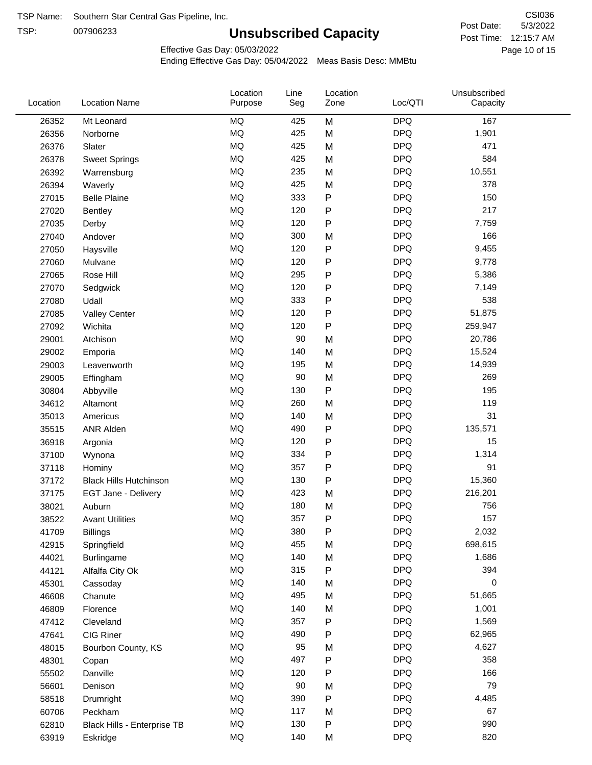TSP:

# **Unsubscribed Capacity**

5/3/2022 Page 10 of 15 Post Time: 12:15:7 AM CSI036 Post Date:

Effective Gas Day: 05/03/2022

| Location | <b>Location Name</b>          | Location<br>Purpose | Line<br>Seg | Location<br>Zone | Loc/QTI    | Unsubscribed<br>Capacity |  |
|----------|-------------------------------|---------------------|-------------|------------------|------------|--------------------------|--|
| 26352    | Mt Leonard                    | <b>MQ</b>           | 425         | M                | <b>DPQ</b> | 167                      |  |
| 26356    | Norborne                      | <b>MQ</b>           | 425         | M                | <b>DPQ</b> | 1,901                    |  |
| 26376    | Slater                        | <b>MQ</b>           | 425         | M                | <b>DPQ</b> | 471                      |  |
| 26378    | <b>Sweet Springs</b>          | <b>MQ</b>           | 425         | M                | <b>DPQ</b> | 584                      |  |
| 26392    | Warrensburg                   | <b>MQ</b>           | 235         | M                | <b>DPQ</b> | 10,551                   |  |
| 26394    | Waverly                       | <b>MQ</b>           | 425         | M                | <b>DPQ</b> | 378                      |  |
| 27015    | <b>Belle Plaine</b>           | <b>MQ</b>           | 333         | P                | <b>DPQ</b> | 150                      |  |
| 27020    | Bentley                       | <b>MQ</b>           | 120         | P                | <b>DPQ</b> | 217                      |  |
| 27035    | Derby                         | <b>MQ</b>           | 120         | P                | <b>DPQ</b> | 7,759                    |  |
| 27040    | Andover                       | <b>MQ</b>           | 300         | M                | <b>DPQ</b> | 166                      |  |
| 27050    | Haysville                     | <b>MQ</b>           | 120         | P                | <b>DPQ</b> | 9,455                    |  |
| 27060    | Mulvane                       | <b>MQ</b>           | 120         | P                | <b>DPQ</b> | 9,778                    |  |
| 27065    | Rose Hill                     | <b>MQ</b>           | 295         | P                | <b>DPQ</b> | 5,386                    |  |
| 27070    | Sedgwick                      | <b>MQ</b>           | 120         | P                | <b>DPQ</b> | 7,149                    |  |
| 27080    | Udall                         | <b>MQ</b>           | 333         | P                | <b>DPQ</b> | 538                      |  |
| 27085    | <b>Valley Center</b>          | <b>MQ</b>           | 120         | P                | <b>DPQ</b> | 51,875                   |  |
| 27092    | Wichita                       | <b>MQ</b>           | 120         | P                | <b>DPQ</b> | 259,947                  |  |
| 29001    | Atchison                      | <b>MQ</b>           | 90          | M                | <b>DPQ</b> | 20,786                   |  |
| 29002    | Emporia                       | <b>MQ</b>           | 140         | M                | <b>DPQ</b> | 15,524                   |  |
| 29003    | Leavenworth                   | <b>MQ</b>           | 195         | M                | <b>DPQ</b> | 14,939                   |  |
| 29005    | Effingham                     | <b>MQ</b>           | 90          | M                | <b>DPQ</b> | 269                      |  |
| 30804    | Abbyville                     | <b>MQ</b>           | 130         | P                | <b>DPQ</b> | 195                      |  |
| 34612    | Altamont                      | <b>MQ</b>           | 260         | M                | <b>DPQ</b> | 119                      |  |
| 35013    | Americus                      | <b>MQ</b>           | 140         | M                | <b>DPQ</b> | 31                       |  |
| 35515    | <b>ANR Alden</b>              | <b>MQ</b>           | 490         | P                | <b>DPQ</b> | 135,571                  |  |
| 36918    | Argonia                       | <b>MQ</b>           | 120         | P                | <b>DPQ</b> | 15                       |  |
| 37100    | Wynona                        | <b>MQ</b>           | 334         | P                | <b>DPQ</b> | 1,314                    |  |
| 37118    | Hominy                        | <b>MQ</b>           | 357         | P                | <b>DPQ</b> | 91                       |  |
| 37172    | <b>Black Hills Hutchinson</b> | <b>MQ</b>           | 130         | P                | <b>DPQ</b> | 15,360                   |  |
| 37175    | <b>EGT Jane - Delivery</b>    | <b>MQ</b>           | 423         | M                | <b>DPQ</b> | 216,201                  |  |
| 38021    | Auburn                        | <b>MQ</b>           | 180         | M                | <b>DPQ</b> | 756                      |  |
| 38522    | <b>Avant Utilities</b>        | MQ                  | 357         | P                | <b>DPQ</b> | 157                      |  |
| 41709    | <b>Billings</b>               | MQ                  | 380         | P                | <b>DPQ</b> | 2,032                    |  |
| 42915    | Springfield                   | MQ                  | 455         | M                | <b>DPQ</b> | 698,615                  |  |
| 44021    | Burlingame                    | <b>MQ</b>           | 140         | M                | <b>DPQ</b> | 1,686                    |  |
| 44121    | Alfalfa City Ok               | <b>MQ</b>           | 315         | P                | <b>DPQ</b> | 394                      |  |
| 45301    | Cassoday                      | <b>MQ</b>           | 140         | M                | <b>DPQ</b> | 0                        |  |
| 46608    | Chanute                       | <b>MQ</b>           | 495         | M                | <b>DPQ</b> | 51,665                   |  |
| 46809    | Florence                      | <b>MQ</b>           | 140         | M                | <b>DPQ</b> | 1,001                    |  |
| 47412    | Cleveland                     | <b>MQ</b>           | 357         | Ρ                | <b>DPQ</b> | 1,569                    |  |
| 47641    | CIG Riner                     | <b>MQ</b>           | 490         | Ρ                | <b>DPQ</b> | 62,965                   |  |
| 48015    | Bourbon County, KS            | <b>MQ</b>           | 95          | M                | <b>DPQ</b> | 4,627                    |  |
| 48301    | Copan                         | MQ                  | 497         | P                | <b>DPQ</b> | 358                      |  |
| 55502    | Danville                      | <b>MQ</b>           | 120         | P                | <b>DPQ</b> | 166                      |  |
| 56601    | Denison                       | <b>MQ</b>           | 90          | M                | <b>DPQ</b> | 79                       |  |
| 58518    | Drumright                     | <b>MQ</b>           | 390         | P                | <b>DPQ</b> | 4,485                    |  |
| 60706    | Peckham                       | <b>MQ</b>           | 117         | M                | <b>DPQ</b> | 67                       |  |
| 62810    | Black Hills - Enterprise TB   | <b>MQ</b>           | 130         | P                | <b>DPQ</b> | 990                      |  |
| 63919    | Eskridge                      | $\sf{MQ}$           | 140         | M                | <b>DPQ</b> | 820                      |  |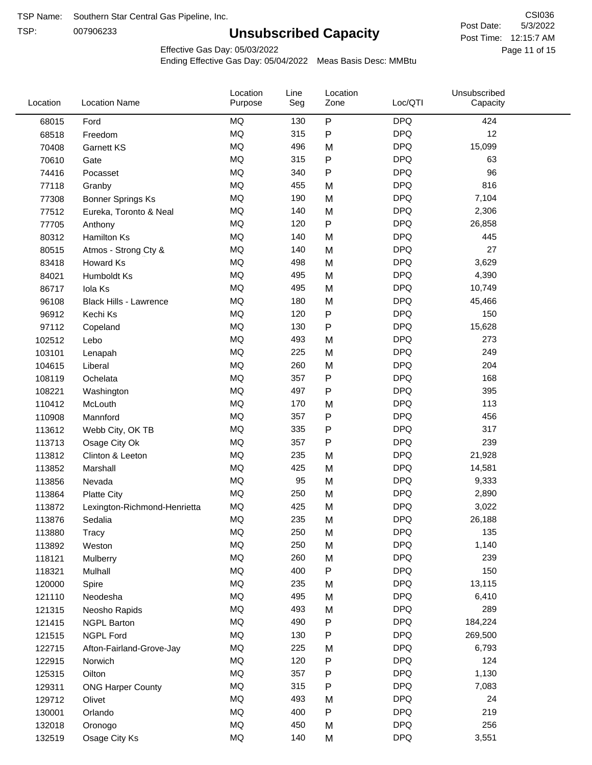TSP:

# **Unsubscribed Capacity**

5/3/2022 Page 11 of 15 Post Time: 12:15:7 AM CSI036 Post Date:

Effective Gas Day: 05/03/2022

| Location | <b>Location Name</b>          | Location<br>Purpose | Line<br>Seg | Location<br>Zone | Loc/QTI    | Unsubscribed<br>Capacity |  |
|----------|-------------------------------|---------------------|-------------|------------------|------------|--------------------------|--|
| 68015    | Ford                          | <b>MQ</b>           | 130         | P                | <b>DPQ</b> | 424                      |  |
| 68518    | Freedom                       | MQ                  | 315         | P                | <b>DPQ</b> | 12                       |  |
| 70408    | Garnett KS                    | <b>MQ</b>           | 496         | M                | <b>DPQ</b> | 15,099                   |  |
| 70610    | Gate                          | <b>MQ</b>           | 315         | P                | <b>DPQ</b> | 63                       |  |
| 74416    | Pocasset                      | <b>MQ</b>           | 340         | P                | <b>DPQ</b> | 96                       |  |
| 77118    | Granby                        | <b>MQ</b>           | 455         | M                | <b>DPQ</b> | 816                      |  |
| 77308    | <b>Bonner Springs Ks</b>      | MQ                  | 190         | M                | <b>DPQ</b> | 7,104                    |  |
| 77512    | Eureka, Toronto & Neal        | MQ                  | 140         | M                | <b>DPQ</b> | 2,306                    |  |
| 77705    | Anthony                       | <b>MQ</b>           | 120         | P                | <b>DPQ</b> | 26,858                   |  |
| 80312    | <b>Hamilton Ks</b>            | <b>MQ</b>           | 140         | M                | <b>DPQ</b> | 445                      |  |
| 80515    | Atmos - Strong Cty &          | MQ                  | 140         | M                | <b>DPQ</b> | 27                       |  |
| 83418    | Howard Ks                     | MQ                  | 498         | M                | <b>DPQ</b> | 3,629                    |  |
| 84021    | Humboldt Ks                   | MQ                  | 495         | M                | <b>DPQ</b> | 4,390                    |  |
| 86717    | Iola Ks                       | <b>MQ</b>           | 495         | M                | <b>DPQ</b> | 10,749                   |  |
| 96108    | <b>Black Hills - Lawrence</b> | <b>MQ</b>           | 180         | M                | <b>DPQ</b> | 45,466                   |  |
| 96912    | Kechi Ks                      | MQ                  | 120         | P                | <b>DPQ</b> | 150                      |  |
| 97112    | Copeland                      | <b>MQ</b>           | 130         | P                | <b>DPQ</b> | 15,628                   |  |
| 102512   | Lebo                          | <b>MQ</b>           | 493         | M                | <b>DPQ</b> | 273                      |  |
| 103101   | Lenapah                       | <b>MQ</b>           | 225         | M                | <b>DPQ</b> | 249                      |  |
| 104615   | Liberal                       | MQ                  | 260         | M                | <b>DPQ</b> | 204                      |  |
| 108119   | Ochelata                      | MQ                  | 357         | P                | <b>DPQ</b> | 168                      |  |
| 108221   | Washington                    | MQ                  | 497         | P                | <b>DPQ</b> | 395                      |  |
| 110412   | McLouth                       | <b>MQ</b>           | 170         | M                | <b>DPQ</b> | 113                      |  |
| 110908   | Mannford                      | <b>MQ</b>           | 357         | P                | <b>DPQ</b> | 456                      |  |
| 113612   | Webb City, OK TB              | <b>MQ</b>           | 335         | Ρ                | <b>DPQ</b> | 317                      |  |
| 113713   | Osage City Ok                 | MQ                  | 357         | P                | <b>DPQ</b> | 239                      |  |
| 113812   | Clinton & Leeton              | <b>MQ</b>           | 235         | M                | <b>DPQ</b> | 21,928                   |  |
| 113852   | Marshall                      | <b>MQ</b>           | 425         | M                | <b>DPQ</b> | 14,581                   |  |
| 113856   | Nevada                        | MQ                  | 95          | M                | <b>DPQ</b> | 9,333                    |  |
| 113864   | <b>Platte City</b>            | MQ                  | 250         | M                | <b>DPQ</b> | 2,890                    |  |
| 113872   | Lexington-Richmond-Henrietta  | MQ                  | 425         | M                | <b>DPQ</b> | 3,022                    |  |
| 113876   | Sedalia                       | MQ                  | 235         | М                | <b>DPQ</b> | 26,188                   |  |
| 113880   | Tracy                         | MQ                  | 250         | M                | <b>DPQ</b> | 135                      |  |
| 113892   | Weston                        | MQ                  | 250         | M                | <b>DPQ</b> | 1,140                    |  |
| 118121   | Mulberry                      | MQ                  | 260         | M                | <b>DPQ</b> | 239                      |  |
| 118321   | Mulhall                       | MQ                  | 400         | P                | <b>DPQ</b> | 150                      |  |
| 120000   | Spire                         | MQ                  | 235         | M                | <b>DPQ</b> | 13,115                   |  |
| 121110   | Neodesha                      | MQ                  | 495         | M                | <b>DPQ</b> | 6,410                    |  |
| 121315   | Neosho Rapids                 | $\sf{MQ}$           | 493         | M                | <b>DPQ</b> | 289                      |  |
| 121415   | <b>NGPL Barton</b>            | MQ                  | 490         | P                | <b>DPQ</b> | 184,224                  |  |
| 121515   | <b>NGPL Ford</b>              | MQ                  | 130         | P                | <b>DPQ</b> | 269,500                  |  |
| 122715   | Afton-Fairland-Grove-Jay      | MQ                  | 225         | M                | <b>DPQ</b> | 6,793                    |  |
| 122915   | Norwich                       | MQ                  | 120         | P                | <b>DPQ</b> | 124                      |  |
| 125315   | Oilton                        | MQ                  | 357         | P                | <b>DPQ</b> | 1,130                    |  |
| 129311   | <b>ONG Harper County</b>      | MQ                  | 315         | P                | <b>DPQ</b> | 7,083                    |  |
| 129712   | Olivet                        | MQ                  | 493         | M                | <b>DPQ</b> | 24                       |  |
| 130001   | Orlando                       | MQ                  | 400         | P                | <b>DPQ</b> | 219                      |  |
| 132018   | Oronogo                       | $\sf{MQ}$           | 450         | M                | <b>DPQ</b> | 256                      |  |
| 132519   | Osage City Ks                 | MQ                  | 140         | M                | <b>DPQ</b> | 3,551                    |  |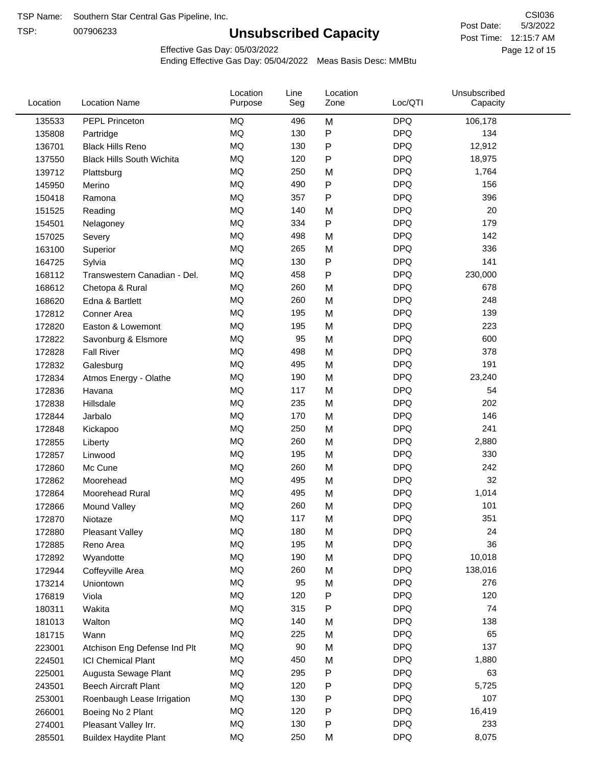TSP:

# **Unsubscribed Capacity**

5/3/2022 Page 12 of 15 Post Time: 12:15:7 AM CSI036 Post Date:

Effective Gas Day: 05/03/2022

| Location | <b>Location Name</b>             | Location<br>Purpose | Line<br>Seg | Location<br>Zone | Loc/QTI    | Unsubscribed<br>Capacity |  |
|----------|----------------------------------|---------------------|-------------|------------------|------------|--------------------------|--|
| 135533   | <b>PEPL Princeton</b>            | <b>MQ</b>           | 496         | M                | <b>DPQ</b> | 106,178                  |  |
| 135808   | Partridge                        | MQ                  | 130         | ${\sf P}$        | <b>DPQ</b> | 134                      |  |
| 136701   | <b>Black Hills Reno</b>          | MQ                  | 130         | P                | <b>DPQ</b> | 12,912                   |  |
| 137550   | <b>Black Hills South Wichita</b> | MQ                  | 120         | P                | <b>DPQ</b> | 18,975                   |  |
| 139712   | Plattsburg                       | <b>MQ</b>           | 250         | M                | <b>DPQ</b> | 1,764                    |  |
| 145950   | Merino                           | <b>MQ</b>           | 490         | P                | <b>DPQ</b> | 156                      |  |
| 150418   | Ramona                           | <b>MQ</b>           | 357         | ${\sf P}$        | <b>DPQ</b> | 396                      |  |
| 151525   | Reading                          | <b>MQ</b>           | 140         | M                | <b>DPQ</b> | 20                       |  |
| 154501   | Nelagoney                        | <b>MQ</b>           | 334         | ${\sf P}$        | <b>DPQ</b> | 179                      |  |
| 157025   | Severy                           | <b>MQ</b>           | 498         | M                | <b>DPQ</b> | 142                      |  |
| 163100   | Superior                         | MQ                  | 265         | M                | <b>DPQ</b> | 336                      |  |
| 164725   | Sylvia                           | MQ                  | 130         | P                | <b>DPQ</b> | 141                      |  |
| 168112   | Transwestern Canadian - Del.     | MQ                  | 458         | P                | <b>DPQ</b> | 230,000                  |  |
| 168612   | Chetopa & Rural                  | <b>MQ</b>           | 260         | M                | <b>DPQ</b> | 678                      |  |
| 168620   | Edna & Bartlett                  | <b>MQ</b>           | 260         | M                | <b>DPQ</b> | 248                      |  |
| 172812   | Conner Area                      | <b>MQ</b>           | 195         | M                | <b>DPQ</b> | 139                      |  |
| 172820   | Easton & Lowemont                | MQ                  | 195         | M                | <b>DPQ</b> | 223                      |  |
| 172822   | Savonburg & Elsmore              | MQ                  | 95          | M                | <b>DPQ</b> | 600                      |  |
| 172828   | <b>Fall River</b>                | <b>MQ</b>           | 498         | M                | <b>DPQ</b> | 378                      |  |
| 172832   | Galesburg                        | MQ                  | 495         | M                | <b>DPQ</b> | 191                      |  |
| 172834   | Atmos Energy - Olathe            | MQ                  | 190         | M                | <b>DPQ</b> | 23,240                   |  |
| 172836   | Havana                           | <b>MQ</b>           | 117         | M                | <b>DPQ</b> | 54                       |  |
| 172838   | Hillsdale                        | <b>MQ</b>           | 235         | M                | <b>DPQ</b> | 202                      |  |
| 172844   | Jarbalo                          | <b>MQ</b>           | 170         | M                | <b>DPQ</b> | 146                      |  |
| 172848   | Kickapoo                         | <b>MQ</b>           | 250         | M                | <b>DPQ</b> | 241                      |  |
| 172855   | Liberty                          | MQ                  | 260         | M                | <b>DPQ</b> | 2,880                    |  |
| 172857   | Linwood                          | MQ                  | 195         | M                | <b>DPQ</b> | 330                      |  |
| 172860   | Mc Cune                          | <b>MQ</b>           | 260         | M                | <b>DPQ</b> | 242                      |  |
| 172862   | Moorehead                        | <b>MQ</b>           | 495         | M                | <b>DPQ</b> | 32                       |  |
| 172864   | Moorehead Rural                  | MQ                  | 495         | M                | <b>DPQ</b> | 1,014                    |  |
| 172866   | Mound Valley                     | <b>MQ</b>           | 260         | M                | <b>DPQ</b> | 101                      |  |
| 172870   | Niotaze                          | MQ                  | 117         | M                | <b>DPQ</b> | 351                      |  |
| 172880   | Pleasant Valley                  | MQ                  | 180         | M                | <b>DPQ</b> | 24                       |  |
| 172885   | Reno Area                        | MQ                  | 195         | M                | <b>DPQ</b> | 36                       |  |
| 172892   | Wyandotte                        | MQ                  | 190         | M                | <b>DPQ</b> | 10,018                   |  |
| 172944   | Coffeyville Area                 | MQ                  | 260         | M                | <b>DPQ</b> | 138,016                  |  |
| 173214   | Uniontown                        | MQ                  | 95          | M                | <b>DPQ</b> | 276                      |  |
| 176819   | Viola                            | MQ                  | 120         | P                | <b>DPQ</b> | 120                      |  |
| 180311   | Wakita                           | MQ                  | 315         | P                | <b>DPQ</b> | 74                       |  |
| 181013   | Walton                           | MQ                  | 140         | M                | <b>DPQ</b> | 138                      |  |
| 181715   | Wann                             | MQ                  | 225         | M                | <b>DPQ</b> | 65                       |  |
| 223001   | Atchison Eng Defense Ind Plt     | MQ                  | 90          | M                | <b>DPQ</b> | 137                      |  |
| 224501   | <b>ICI Chemical Plant</b>        | MQ                  | 450         | M                | <b>DPQ</b> | 1,880                    |  |
| 225001   | Augusta Sewage Plant             | MQ                  | 295         | P                | <b>DPQ</b> | 63                       |  |
| 243501   | <b>Beech Aircraft Plant</b>      | MQ                  | 120         | P                | <b>DPQ</b> | 5,725                    |  |
| 253001   | Roenbaugh Lease Irrigation       | MQ                  | 130         | P                | <b>DPQ</b> | 107                      |  |
| 266001   | Boeing No 2 Plant                | MQ                  | 120         | P                | <b>DPQ</b> | 16,419                   |  |
| 274001   | Pleasant Valley Irr.             | MQ                  | 130         | P                | <b>DPQ</b> | 233                      |  |
| 285501   | <b>Buildex Haydite Plant</b>     | MQ                  | 250         | M                | <b>DPQ</b> | 8,075                    |  |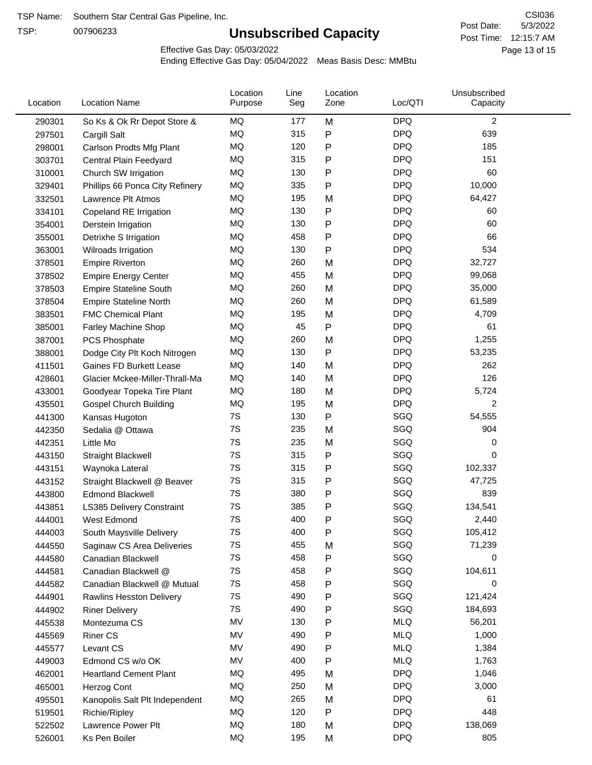TSP:

# **Unsubscribed Capacity**

5/3/2022 Page 13 of 15 Post Time: 12:15:7 AM CSI036 Post Date:

Effective Gas Day: 05/03/2022

| Location | <b>Location Name</b>             | Location<br>Purpose | Line<br>Seg | Location<br>Zone | Loc/QTI    | Unsubscribed<br>Capacity |  |
|----------|----------------------------------|---------------------|-------------|------------------|------------|--------------------------|--|
| 290301   | So Ks & Ok Rr Depot Store &      | MQ                  | 177         | M                | <b>DPQ</b> | 2                        |  |
| 297501   | Cargill Salt                     | MQ                  | 315         | P                | <b>DPQ</b> | 639                      |  |
| 298001   | Carlson Prodts Mfg Plant         | MQ                  | 120         | P                | <b>DPQ</b> | 185                      |  |
| 303701   | Central Plain Feedyard           | MQ                  | 315         | P                | <b>DPQ</b> | 151                      |  |
| 310001   | Church SW Irrigation             | <b>MQ</b>           | 130         | P                | <b>DPQ</b> | 60                       |  |
| 329401   | Phillips 66 Ponca City Refinery  | MQ                  | 335         | P                | <b>DPQ</b> | 10,000                   |  |
| 332501   | Lawrence Plt Atmos               | MQ                  | 195         | M                | <b>DPQ</b> | 64,427                   |  |
| 334101   | Copeland RE Irrigation           | MQ                  | 130         | Ρ                | <b>DPQ</b> | 60                       |  |
| 354001   | Derstein Irrigation              | MQ                  | 130         | P                | <b>DPQ</b> | 60                       |  |
| 355001   | Detrixhe S Irrigation            | <b>MQ</b>           | 458         | P                | <b>DPQ</b> | 66                       |  |
| 363001   | Wilroads Irrigation              | MQ                  | 130         | P                | <b>DPQ</b> | 534                      |  |
| 378501   | <b>Empire Riverton</b>           | MQ                  | 260         | M                | <b>DPQ</b> | 32,727                   |  |
| 378502   | <b>Empire Energy Center</b>      | MQ                  | 455         | M                | <b>DPQ</b> | 99,068                   |  |
| 378503   | <b>Empire Stateline South</b>    | MQ                  | 260         | M                | <b>DPQ</b> | 35,000                   |  |
| 378504   | <b>Empire Stateline North</b>    | MQ                  | 260         | M                | <b>DPQ</b> | 61,589                   |  |
| 383501   | <b>FMC Chemical Plant</b>        | MQ                  | 195         | M                | <b>DPQ</b> | 4,709                    |  |
| 385001   | Farley Machine Shop              | MQ                  | 45          | Ρ                | <b>DPQ</b> | 61                       |  |
| 387001   | PCS Phosphate                    | <b>MQ</b>           | 260         | M                | <b>DPQ</b> | 1,255                    |  |
| 388001   | Dodge City Plt Koch Nitrogen     | MQ                  | 130         | P                | <b>DPQ</b> | 53,235                   |  |
| 411501   | Gaines FD Burkett Lease          | MQ                  | 140         | M                | <b>DPQ</b> | 262                      |  |
| 428601   | Glacier Mckee-Miller-Thrall-Ma   | MQ                  | 140         | M                | <b>DPQ</b> | 126                      |  |
| 433001   | Goodyear Topeka Tire Plant       | MQ                  | 180         | M                | <b>DPQ</b> | 5,724                    |  |
| 435501   | <b>Gospel Church Building</b>    | <b>MQ</b>           | 195         | M                | <b>DPQ</b> | 2                        |  |
| 441300   | Kansas Hugoton                   | 7S                  | 130         | P                | SGQ        | 54,555                   |  |
| 442350   | Sedalia @ Ottawa                 | 7S                  | 235         | M                | SGQ        | 904                      |  |
| 442351   | Little Mo                        | 7S                  | 235         | M                | SGQ        | 0                        |  |
| 443150   | <b>Straight Blackwell</b>        | 7S                  | 315         | Ρ                | SGQ        | 0                        |  |
| 443151   | Waynoka Lateral                  | 7S                  | 315         | P                | SGQ        | 102,337                  |  |
| 443152   | Straight Blackwell @ Beaver      | 7S                  | 315         | P                | SGQ        | 47,725                   |  |
| 443800   | <b>Edmond Blackwell</b>          | 7S                  | 380         | P                | SGQ        | 839                      |  |
| 443851   | <b>LS385 Delivery Constraint</b> | 7S                  | 385         | Ρ                | SGQ        | 134,541                  |  |
| 444001   | West Edmond                      | 7S                  | 400         | Р                | SGQ        | 2,440                    |  |
| 444003   | South Maysville Delivery         | 7S                  | 400         | P                | SGQ        | 105,412                  |  |
| 444550   | Saginaw CS Area Deliveries       | 7S                  | 455         | M                | SGQ        | 71,239                   |  |
| 444580   | Canadian Blackwell               | 7S                  | 458         | P                | SGQ        | 0                        |  |
| 444581   | Canadian Blackwell @             | 7S                  | 458         | P                | SGQ        | 104,611                  |  |
| 444582   | Canadian Blackwell @ Mutual      | 7S                  | 458         | P                | SGQ        | 0                        |  |
| 444901   | Rawlins Hesston Delivery         | 7S                  | 490         | P                | SGQ        | 121,424                  |  |
| 444902   | <b>Riner Delivery</b>            | 7S                  | 490         | Ρ                | SGQ        | 184,693                  |  |
| 445538   | Montezuma CS                     | MV                  | 130         | Ρ                | <b>MLQ</b> | 56,201                   |  |
| 445569   | <b>Riner CS</b>                  | MV                  | 490         | Ρ                | <b>MLQ</b> | 1,000                    |  |
| 445577   | Levant CS                        | MV                  | 490         | P                | <b>MLQ</b> | 1,384                    |  |
| 449003   | Edmond CS w/o OK                 | MV                  | 400         | P                | <b>MLQ</b> | 1,763                    |  |
| 462001   | <b>Heartland Cement Plant</b>    | MQ                  | 495         | M                | <b>DPQ</b> | 1,046                    |  |
| 465001   | Herzog Cont                      | MQ                  | 250         | M                | <b>DPQ</b> | 3,000                    |  |
| 495501   | Kanopolis Salt Plt Independent   | MQ                  | 265         | M                | <b>DPQ</b> | 61                       |  |
| 519501   | Richie/Ripley                    | MQ                  | 120         | Ρ                | <b>DPQ</b> | 448                      |  |
| 522502   | Lawrence Power Plt               | MQ                  | 180         | M                | <b>DPQ</b> | 138,069                  |  |
| 526001   | Ks Pen Boiler                    | MQ                  | 195         | M                | <b>DPQ</b> | 805                      |  |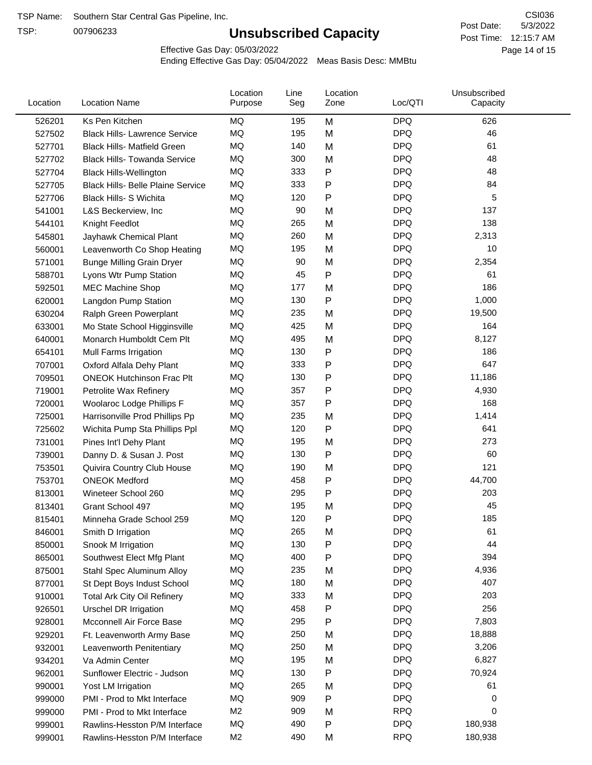TSP:

# **Unsubscribed Capacity**

5/3/2022 Page 14 of 15 Post Time: 12:15:7 AM CSI036 Post Date:

Effective Gas Day: 05/03/2022

| Location | <b>Location Name</b>                     | Location<br>Purpose | Line<br>Seg | Location<br>Zone | Loc/QTI    | Unsubscribed<br>Capacity |  |
|----------|------------------------------------------|---------------------|-------------|------------------|------------|--------------------------|--|
| 526201   | Ks Pen Kitchen                           | MQ                  | 195         | M                | <b>DPQ</b> | 626                      |  |
| 527502   | <b>Black Hills- Lawrence Service</b>     | <b>MQ</b>           | 195         | M                | <b>DPQ</b> | 46                       |  |
| 527701   | <b>Black Hills- Matfield Green</b>       | <b>MQ</b>           | 140         | M                | <b>DPQ</b> | 61                       |  |
| 527702   | <b>Black Hills- Towanda Service</b>      | MQ                  | 300         | M                | <b>DPQ</b> | 48                       |  |
| 527704   | <b>Black Hills-Wellington</b>            | MQ                  | 333         | P                | <b>DPQ</b> | 48                       |  |
| 527705   | <b>Black Hills- Belle Plaine Service</b> | MQ                  | 333         | ${\sf P}$        | <b>DPQ</b> | 84                       |  |
| 527706   | Black Hills- S Wichita                   | MQ                  | 120         | $\mathsf{P}$     | <b>DPQ</b> | 5                        |  |
| 541001   | L&S Beckerview, Inc                      | MQ                  | 90          | M                | <b>DPQ</b> | 137                      |  |
| 544101   | Knight Feedlot                           | MQ                  | 265         | M                | <b>DPQ</b> | 138                      |  |
| 545801   | Jayhawk Chemical Plant                   | MQ                  | 260         | M                | <b>DPQ</b> | 2,313                    |  |
| 560001   | Leavenworth Co Shop Heating              | MQ                  | 195         | M                | <b>DPQ</b> | 10                       |  |
| 571001   | <b>Bunge Milling Grain Dryer</b>         | MQ                  | 90          | M                | <b>DPQ</b> | 2,354                    |  |
| 588701   | Lyons Wtr Pump Station                   | MQ                  | 45          | ${\sf P}$        | <b>DPQ</b> | 61                       |  |
| 592501   | <b>MEC Machine Shop</b>                  | MQ                  | 177         | M                | <b>DPQ</b> | 186                      |  |
| 620001   | Langdon Pump Station                     | MQ                  | 130         | ${\sf P}$        | <b>DPQ</b> | 1,000                    |  |
| 630204   | Ralph Green Powerplant                   | MQ                  | 235         | M                | <b>DPQ</b> | 19,500                   |  |
| 633001   | Mo State School Higginsville             | MQ                  | 425         | M                | <b>DPQ</b> | 164                      |  |
| 640001   | Monarch Humboldt Cem Plt                 | MQ                  | 495         | M                | <b>DPQ</b> | 8,127                    |  |
| 654101   | Mull Farms Irrigation                    | MQ                  | 130         | P                | <b>DPQ</b> | 186                      |  |
| 707001   | Oxford Alfala Dehy Plant                 | MQ                  | 333         | ${\sf P}$        | <b>DPQ</b> | 647                      |  |
| 709501   | <b>ONEOK Hutchinson Frac Plt</b>         | MQ                  | 130         | P                | <b>DPQ</b> | 11,186                   |  |
| 719001   | Petrolite Wax Refinery                   | MQ                  | 357         | P                | <b>DPQ</b> | 4,930                    |  |
| 720001   | Woolaroc Lodge Phillips F                | MQ                  | 357         | $\mathsf{P}$     | <b>DPQ</b> | 168                      |  |
| 725001   | Harrisonville Prod Phillips Pp           | MQ                  | 235         | M                | <b>DPQ</b> | 1,414                    |  |
| 725602   | Wichita Pump Sta Phillips Ppl            | MQ                  | 120         | $\mathsf{P}$     | <b>DPQ</b> | 641                      |  |
| 731001   | Pines Int'l Dehy Plant                   | MQ                  | 195         | M                | <b>DPQ</b> | 273                      |  |
| 739001   | Danny D. & Susan J. Post                 | MQ                  | 130         | ${\sf P}$        | <b>DPQ</b> | 60                       |  |
| 753501   | Quivira Country Club House               | MQ                  | 190         | M                | <b>DPQ</b> | 121                      |  |
| 753701   | <b>ONEOK Medford</b>                     | MQ                  | 458         | ${\sf P}$        | <b>DPQ</b> | 44,700                   |  |
| 813001   | Wineteer School 260                      | MQ                  | 295         | $\mathsf{P}$     | <b>DPQ</b> | 203                      |  |
| 813401   | Grant School 497                         | MQ                  | 195         | M                | <b>DPQ</b> | 45                       |  |
| 815401   | Minneha Grade School 259                 | MQ                  | 120         | Ρ                | <b>DPQ</b> | 185                      |  |
| 846001   | Smith D Irrigation                       | MQ                  | 265         | M                | <b>DPQ</b> | 61                       |  |
| 850001   | Snook M Irrigation                       | MQ                  | 130         | ${\sf P}$        | <b>DPQ</b> | 44                       |  |
| 865001   | Southwest Elect Mfg Plant                | MQ                  | 400         | P                | <b>DPQ</b> | 394                      |  |
| 875001   | Stahl Spec Aluminum Alloy                | MQ                  | 235         | M                | <b>DPQ</b> | 4,936                    |  |
| 877001   | St Dept Boys Indust School               | MQ                  | 180         | M                | <b>DPQ</b> | 407                      |  |
| 910001   | <b>Total Ark City Oil Refinery</b>       | MQ                  | 333         | M                | <b>DPQ</b> | 203                      |  |
| 926501   | Urschel DR Irrigation                    | MQ                  | 458         | $\mathsf{P}$     | <b>DPQ</b> | 256                      |  |
| 928001   | Mcconnell Air Force Base                 | MQ                  | 295         | P                | <b>DPQ</b> | 7,803                    |  |
| 929201   | Ft. Leavenworth Army Base                | MQ                  | 250         | M                | <b>DPQ</b> | 18,888                   |  |
| 932001   | Leavenworth Penitentiary                 | MQ                  | 250         | M                | <b>DPQ</b> | 3,206                    |  |
| 934201   | Va Admin Center                          | MQ                  | 195         | M                | <b>DPQ</b> | 6,827                    |  |
| 962001   | Sunflower Electric - Judson              | MQ                  | 130         | P                | <b>DPQ</b> | 70,924                   |  |
| 990001   | Yost LM Irrigation                       | MQ                  | 265         | M                | <b>DPQ</b> | 61                       |  |
| 999000   | PMI - Prod to Mkt Interface              | MQ                  | 909         | $\mathsf{P}$     | <b>DPQ</b> | 0                        |  |
| 999000   | PMI - Prod to Mkt Interface              | M <sub>2</sub>      | 909         | M                | <b>RPQ</b> | 0                        |  |
| 999001   | Rawlins-Hesston P/M Interface            | MQ                  | 490         | P                | <b>DPQ</b> | 180,938                  |  |
| 999001   | Rawlins-Hesston P/M Interface            | M <sub>2</sub>      | 490         | M                | <b>RPQ</b> | 180,938                  |  |
|          |                                          |                     |             |                  |            |                          |  |